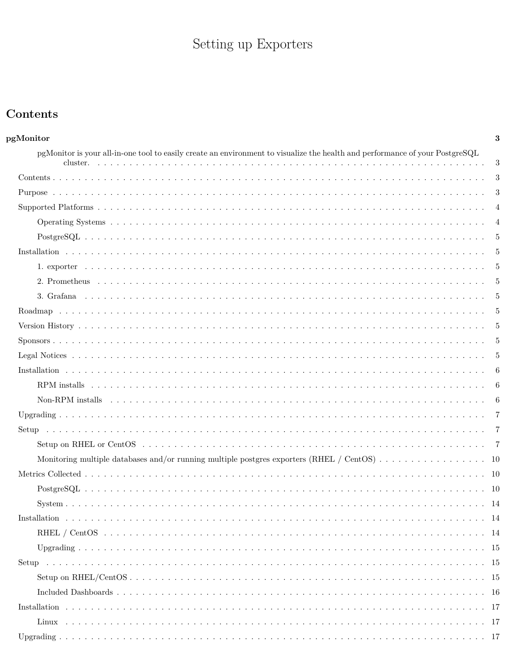# Setting up  $\operatorname{Exports}$

# <span id="page-0-0"></span>Contents

| pgMonitor                                                                                                                    | 3              |
|------------------------------------------------------------------------------------------------------------------------------|----------------|
| pgMonitor is your all-in-one tool to easily create an environment to visualize the health and performance of your PostgreSQL |                |
|                                                                                                                              | 3              |
|                                                                                                                              | 3              |
|                                                                                                                              | 3              |
|                                                                                                                              | $\overline{4}$ |
|                                                                                                                              |                |
|                                                                                                                              |                |
|                                                                                                                              |                |
|                                                                                                                              |                |
|                                                                                                                              |                |
|                                                                                                                              |                |
|                                                                                                                              |                |
|                                                                                                                              |                |
|                                                                                                                              |                |
|                                                                                                                              | -5             |
|                                                                                                                              | -6             |
|                                                                                                                              | -6             |
|                                                                                                                              |                |
|                                                                                                                              |                |
|                                                                                                                              |                |
|                                                                                                                              |                |
| Monitoring multiple databases and/or running multiple postgres exporters (RHEL / CentOS) 10                                  |                |
|                                                                                                                              |                |
|                                                                                                                              |                |
| System.                                                                                                                      | 14             |
|                                                                                                                              |                |
|                                                                                                                              |                |
|                                                                                                                              |                |
|                                                                                                                              |                |
|                                                                                                                              |                |
|                                                                                                                              |                |
|                                                                                                                              |                |
|                                                                                                                              |                |
|                                                                                                                              |                |
|                                                                                                                              |                |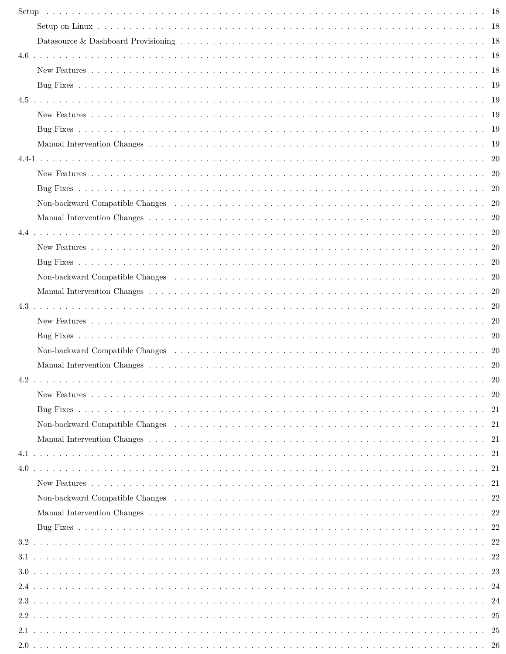| Setup |                                                                                                                      |  |
|-------|----------------------------------------------------------------------------------------------------------------------|--|
|       |                                                                                                                      |  |
|       |                                                                                                                      |  |
|       |                                                                                                                      |  |
|       |                                                                                                                      |  |
|       |                                                                                                                      |  |
|       |                                                                                                                      |  |
|       |                                                                                                                      |  |
|       |                                                                                                                      |  |
|       |                                                                                                                      |  |
|       |                                                                                                                      |  |
|       |                                                                                                                      |  |
|       |                                                                                                                      |  |
|       |                                                                                                                      |  |
|       |                                                                                                                      |  |
|       |                                                                                                                      |  |
|       |                                                                                                                      |  |
|       |                                                                                                                      |  |
|       |                                                                                                                      |  |
|       |                                                                                                                      |  |
|       |                                                                                                                      |  |
|       |                                                                                                                      |  |
|       |                                                                                                                      |  |
|       | Non-backward Compatible Changes (a) and a contract the contract of the contract of the contract of the contract $20$ |  |
|       |                                                                                                                      |  |
| 4.2   |                                                                                                                      |  |
|       |                                                                                                                      |  |
|       |                                                                                                                      |  |
|       |                                                                                                                      |  |
|       |                                                                                                                      |  |
|       |                                                                                                                      |  |
|       |                                                                                                                      |  |
|       |                                                                                                                      |  |
|       |                                                                                                                      |  |
|       |                                                                                                                      |  |
|       |                                                                                                                      |  |
|       |                                                                                                                      |  |
|       |                                                                                                                      |  |
|       |                                                                                                                      |  |
|       |                                                                                                                      |  |
|       |                                                                                                                      |  |
|       |                                                                                                                      |  |
|       |                                                                                                                      |  |
|       |                                                                                                                      |  |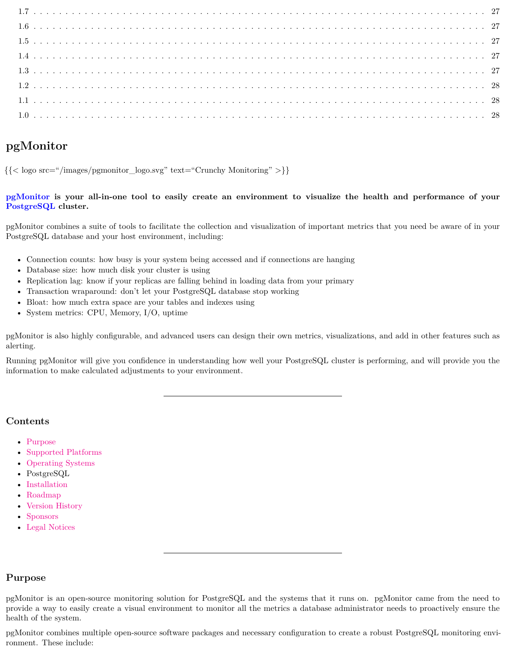# <span id="page-2-0"></span>**pgMonitor**

 $\{\langle \text{logo src} = \text{logo-sygmonicor} \text{ logo.svg} \rangle \text{ text} = \text{Crunchy Monitoring} \rangle \}$ 

# <span id="page-2-1"></span>**[pgMonitor](https://github.com/CrunchyData/pgMonitor) is your all-in-one tool to easily create an environment to visualize the health and performance of your [PostgreSQL](http://www.postgresql.org/) cluster.**

pgMonitor combines a suite of tools to facilitate the collection and visualization of important metrics that you need be aware of in your PostgreSQL database and your host environment, including:

- Connection counts: how busy is your system being accessed and if connections are hanging
- Database size: how much disk your cluster is using
- Replication lag: know if your replicas are falling behind in loading data from your primary
- Transaction wraparound: don't let your PostgreSQL database stop working
- Bloat: how much extra space are your tables and indexes using
- System metrics: CPU, Memory, I/O, uptime

pgMonitor is also highly configurable, and advanced users can design their own metrics, visualizations, and add in other features such as alerting.

Running pgMonitor will give you confidence in understanding how well your PostgreSQL cluster is performing, and will provide you the information to make calculated adjustments to your environment.

# <span id="page-2-2"></span>**Contents**

- [Purpose](#page-2-3)
- [Supported Platforms](#page-3-0)
- [Operating Systems](#page-3-1)
- PostgreSQL
- [Installation](#page-16-0)
- [Roadmap](#page-4-5)
- [Version History](#page-4-6)
- [Sponsors](#page-4-7)
- [Legal Notices](#page-4-8)

# <span id="page-2-3"></span>**Purpose**

pgMonitor combines multiple open-source software packages and necessary configuration to create a robust PostgreSQL monitoring environment. These include:

pgMonitor is an open-source monitoring solution for PostgreSQL and the systems that it runs on. pgMonitor came from the need to provide a way to easily create a visual environment to monitor all the metrics a database administrator needs to proactively ensure the health of the system.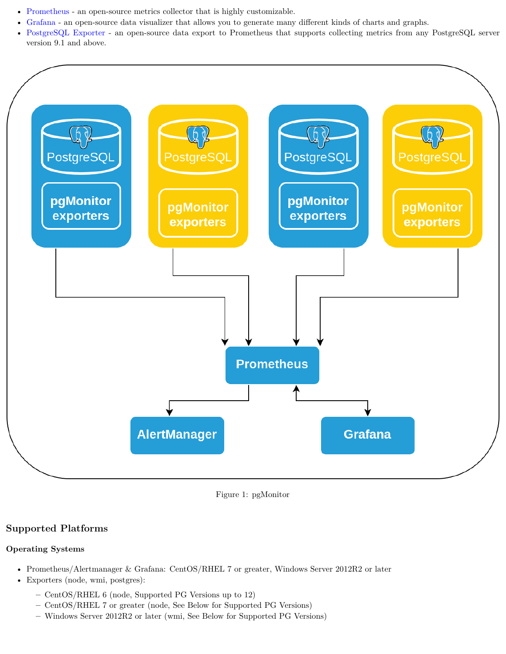- [Prometheus](https://prometheus.io/) an open-source metrics collector that is highly customizable.
- [Grafana](https://grafana.com/) an open-source data visualizer that allows you to generate many different kinds of charts and graphs.
- [PostgreSQL Exporter](https://github.com/wrouesnel/postgres_exporter) an open-source data export to Prometheus that supports collecting metrics from any PostgreSQL server version 9.1 and above.



Figure 1: pgMonitor

# <span id="page-3-0"></span>**Supported Platforms**

## <span id="page-3-1"></span>**Operating Systems**

- Prometheus/Alertmanager & Grafana: CentOS/RHEL 7 or greater, Windows Server 2012R2 or later
- Exporters (node, wmi, postgres):
	- **–** CentOS/RHEL 6 (node, Supported PG Versions up to 12)
	- **–** CentOS/RHEL 7 or greater (node, See Below for Supported PG Versions)
	- **–** Windows Server 2012R2 or later (wmi, See Below for Supported PG Versions)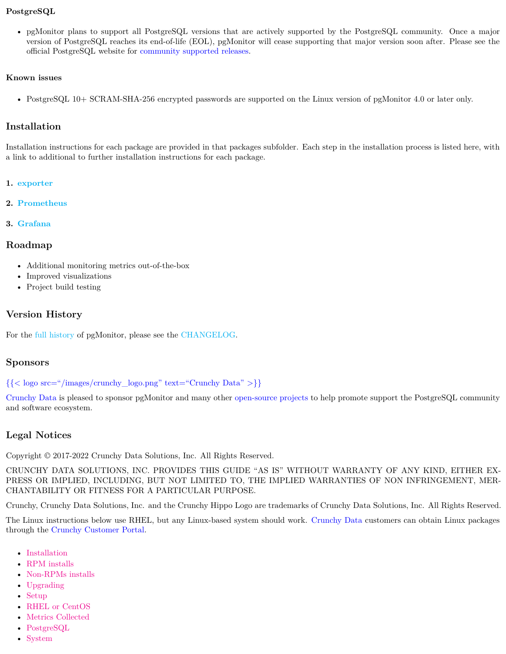# <span id="page-4-0"></span>**PostgreSQL**

• pgMonitor plans to support all PostgreSQL versions that are actively supported by the PostgreSQL community. Once a major version of PostgreSQL reaches its end-of-life (EOL), pgMonitor will cease supporting that major version soon after. Please see the official PostgreSQL website for [community supported releases.](https://www.postgresql.org/support/versioning/)

## **Known issues**

• PostgreSQL 10+ SCRAM-SHA-256 encrypted passwords are supported on the Linux version of pgMonitor 4.0 or later only.

# <span id="page-4-1"></span>**Installation**

Installation instructions for each package are provided in that packages subfolder. Each step in the installation process is listed here, with a link to additional to further installation instructions for each package.

## <span id="page-4-2"></span>**1. [exporter](#page-0-0)**

<span id="page-4-3"></span>**2. [Prometheus](#page-0-0)**

## <span id="page-4-4"></span>**3. [Grafana](#page-0-0)**

# <span id="page-4-5"></span>**Roadmap**

- Additional monitoring metrics out-of-the-box
- Improved visualizations
- Project build testing

# <span id="page-4-6"></span>**Version History**

For the [full history](#page-0-0) of pgMonitor, please see the [CHANGELOG](#page-0-0).

# <span id="page-4-7"></span>**Sponsors**

[{{< logo src="/images/crunchy\\_logo.png" text="Crunchy Data" >}}](https://www.crunchydata.com/)

[Crunchy Data](https://www.crunchydata.com/) is pleased to sponsor pgMonitor and many other [open-source projects](https://github.com/CrunchyData/) to help promote support the PostgreSQL community and software ecosystem.

# <span id="page-4-8"></span>**Legal Notices**

Copyright © 2017-2022 Crunchy Data Solutions, Inc. All Rights Reserved.

CRUNCHY DATA SOLUTIONS, INC. PROVIDES THIS GUIDE "AS IS" WITHOUT WARRANTY OF ANY KIND, EITHER EX-PRESS OR IMPLIED, INCLUDING, BUT NOT LIMITED TO, THE IMPLIED WARRANTIES OF NON INFRINGEMENT, MER-CHANTABILITY OR FITNESS FOR A PARTICULAR PURPOSE.

Crunchy, Crunchy Data Solutions, Inc. and the Crunchy Hippo Logo are trademarks of Crunchy Data Solutions, Inc. All Rights Reserved.

The Linux instructions below use RHEL, but any Linux-based system should work. [Crunchy Data](https://www.crunchydata.com) customers can obtain Linux packages through the [Crunchy Customer Portal.](https://access.crunchydata.com/)

- [Installation](#page-16-0)
- [RPM installs](#page-5-1)
- [Non-RPMs installs](#page-5-2)
- [Upgrading](#page-16-2)
- [Setup](#page-17-0)
- [RHEL or CentOS](#page-6-2)
- [Metrics Collected](#page-9-1)
- [PostgreSQL](#page-9-2)
- [System](#page-13-0)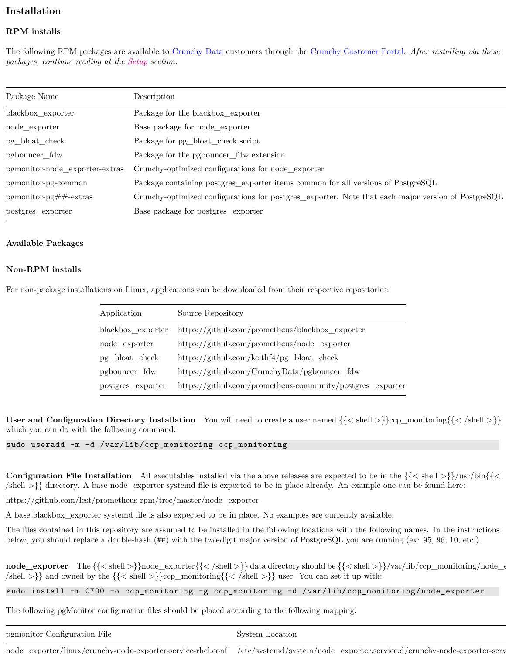# <span id="page-5-0"></span>**Installation**

## <span id="page-5-1"></span>**RPM installs**

The following RPM packages are available to [Crunchy Data](https://www.crunchydata.com) customers through the [Crunchy Customer Portal.](https://access.crunchydata.com/) *After installing via these packages, continue reading at the [Setup](#page-17-0) section.*

| Package Name                      | Description                                                                                        |
|-----------------------------------|----------------------------------------------------------------------------------------------------|
| blackbox_exporter                 | Package for the blackbox_exporter                                                                  |
| node_exporter                     | Base package for node exporter                                                                     |
| pg_bloat_check                    | Package for pg_bloat_check script                                                                  |
| pgbouncer_fdw                     | Package for the pgbouncer_fdw extension                                                            |
| pgmonitor-node_exporter-extras    | Crunchy-optimized configurations for node_exporter                                                 |
| pgmonitor-pg-common               | Package containing postgres_exporter items common for all versions of PostgreSQL                   |
| $pg$ monitor-pg $\#$ $\#$ -extras | Crunchy-optimized configurations for postgres_exporter. Note that each major version of PostgreSQL |
| postgres_exporter                 | Base package for postgres_exporter                                                                 |

#### **Available Packages**

#### <span id="page-5-2"></span>**Non-RPM installs**

For non-package installations on Linux, applications can be downloaded from their respective repositories:

| Application       | Source Repository                                         |
|-------------------|-----------------------------------------------------------|
| blackbox exporter | https://github.com/prometheus/blackbox_exporter           |
| node_exporter     | https://github.com/prometheus/node_exporter               |
| pg_bloat_check    | https://github.com/keithf4/pg bloat check                 |
| pgbouncer fdw     | https://github.com/CrunchyData/pgbouncer_fdw              |
| postgres_exporter | https://github.com/prometheus-community/postgres_exporter |

**User and Configuration Directory Installation** You will need to create a user named  $\{\langle \langle \text{shell} \rangle \rangle\}$ ccp\_monitoring $\{\langle \langle \text{shell} \rangle \rangle\}$ which you can do with the following command:

sudo useradd -m -d /var/lib/ccp\_monitoring ccp\_monitoring

**Configuration File Installation** All executables installed via the above releases are expected to be in the  $({\{\langle \text{shell}\rangle\}})/\text{usr/bin}({\{\langle \text{cl}\rangle\}})/\text{usr}({\{\langle \text{cl}\rangle\}})$  $\{\text{shell} \geq \}$  directory. A base node exporter systemd file is expected to be in place already. An example one can be found here:

https://github.com/lest/prometheus-rpm/tree/master/node\_exporter

A base blackbox\_exporter systemd file is also expected to be in place. No examples are currently available.

The files contained in this repository are assumed to be installed in the following locations with the following names. In the instructions below, you should replace a double-hash (##) with the two-digit major version of PostgreSQL you are running (ex: 95, 96, 10, etc.).

**node\_exporter** The {{\lamp{\lamp{simulate}}}}\text{\lamp{simulate}}}} data directory should be {{\lamp{\lamp{simulate}}}/var/lib/ccp\_monitoring/node\_exporter{\lamp{simulate}}}}  $\{\leq\leq\leq\}$  and owned by the  $\{\leq\leq\leq\}$  and  $\geq\}$  and  $\geq\}$  user. You can set it up with:

sudo install -m 0700 -o ccp\_monitoring -g ccp\_monitoring -d /var/lib/ccp\_monitoring/node\_exporter

The following pgMonitor configuration files should be placed according to the following mapping:

| pgmonitor Configuration File                                                                                                       | System Location |  |
|------------------------------------------------------------------------------------------------------------------------------------|-----------------|--|
| node exporter/linux/crunchy-node-exporter-service-rhel.conf /etc/systemd/system/node exporter.service.d/crunchy-node-exporter-serv |                 |  |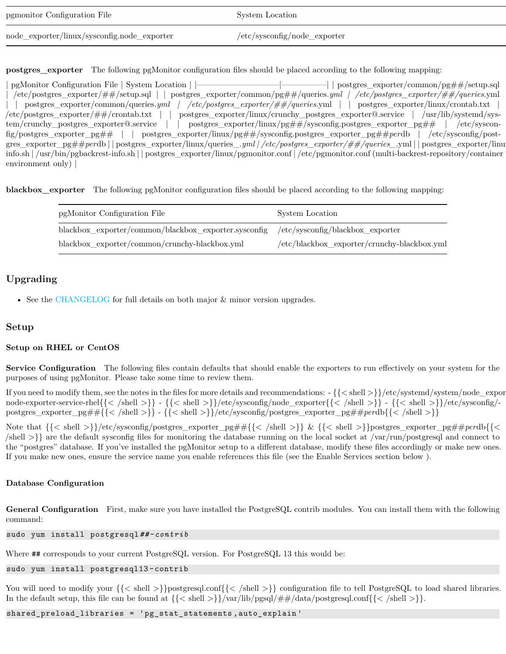| pgmonitor Configuration File                | System Location                 |
|---------------------------------------------|---------------------------------|
| node_exporter/linux/sysconfig.node_exporter | $/etc$ /sysconfig/node_exporter |

**postgres\_exporter** The following pgMonitor configuration files should be placed according to the following mapping:

| pgMonitor Configuration File   System Location   $\vert$<br>postgres_exporter/common/pg##/setup.sql                                                                                                                              |
|----------------------------------------------------------------------------------------------------------------------------------------------------------------------------------------------------------------------------------|
| $-\text{etc}/\text{postgres\_exporter}/\# \#/\text{setup.sql}$   $\text{postgres\_exporter}/\text{common}/\text{pg} \# \#/\text{queries}. \text{yml}$ / $-\text{etc}/\text{postgres\_exporter}/\# \#/\text{queries}. \text{yml}$ |
| postgres_exporter/common/queries.yml /<br>/ /etc/postgres_exporter/##/queries.yml     postgres_exporter/linux/crontab.txt                                                                                                        |
| $/etc/postgres\_exporter/\# \#/crontab.txt$  <br>postgres_exporter/linux/crunchy_postgres_exporter@.service   /usr/lib/systemd/sys-                                                                                              |
| postgres_exporter/linux/pg##/sysconfig.postgres_exporter_pg##   /etc/syscon-<br>tem/crunchy_postgres_exporter@.service                                                                                                           |
| $fig/postgres\_exporter\_pg##$     postgres_exporter/linux/pg##/sysconfig.postgres_exporter_pg##perdb   /etc/sysconfig/post-                                                                                                     |
| gres_exporter_pg##perdb  postgres_exporter/linux/queries_.yml /etc/postgres_exporter/##/queries_.yml  postgres_exporter/linu                                                                                                     |
| info.sh   /usr/bin/pgbackrest-info.sh     postgres_exporter/linux/pgmonitor.conf   /etc/pgmonitor.conf (multi-backrest-repository/container                                                                                      |
| environment only) $\vert$                                                                                                                                                                                                        |
|                                                                                                                                                                                                                                  |

**blackbox\_exporter** The following pgMonitor configuration files should be placed according to the following mapping:

| pgMonitor Configuration File                                                          | System Location                             |
|---------------------------------------------------------------------------------------|---------------------------------------------|
| blackbox exporter/common/blackbox exporter.sysconfig /etc/sysconfig/blackbox exporter |                                             |
| blackbox_exporter/common/crunchy-blackbox.yml                                         | /etc/blackbox exporter/crunchy-blackbox.yml |

# <span id="page-6-0"></span>**Upgrading**

• See the [CHANGELOG](#page-0-0) for full details on both major & minor version upgrades.

# <span id="page-6-1"></span>**Setup**

## <span id="page-6-2"></span>**Setup on RHEL or CentOS**

**Service Configuration** The following files contain defaults that should enable the exporters to run effectively on your system for the purposes of using pgMonitor. Please take some time to review them.

If you need to modify them, see the notes in the files for more details and recommendations:  $-\{\{\text{shell}\}\}/\text{etc}/\text{system}/\text{node\_expor}$ node-exporter-service-rhel{{< /shell >}} - {{< shell >}}/etc/sysconfig/node\_exporter{{< /shell >}} - {{< shell >}}/etc/sysconfig/ postgres\_exporter\_pg##{{< /shell >}} - {{< shell >}}/etc/sysconfig/postgres\_exporter\_pg##*per*db{{< /shell >}}

Note that {{< shell >}}/etc/sysconfig/postgres\_exporter\_pg##{{< /shell >}} & {{< shell >}}postgres\_exporter\_pg##*per*db{{< /shell >}} are the default sysconfig files for monitoring the database running on the local socket at /var/run/postgresql and connect to the "postgres" database. If you've installed the pgMonitor setup to a different database, modify these files accordingly or make new ones. If you make new ones, ensure the service name you enable references this file (see the Enable Services section below ).

## **Database Configuration**

**General Configuration** First, make sure you have installed the PostgreSQL contrib modules. You can install them with the following command:

sudo yum install postgresql*##-contrib*

Where  $#$  corresponds to your current PostgreSQL version. For PostgreSQL 13 this would be:

sudo yum install postgresql13 -contrib

You will need to modify your  $\{\langle \text{shell}\rangle\}$  postgresql.conf $\{\langle \text{shell}\rangle\}$  configuration file to tell PostgreSQL to load shared libraries. In the default setup, this file can be found at  $\{\langle \rangle\}$  shell  $>\}\$ /var/lib/pgsql/##/data/postgresql.conf $\{\langle \rangle\}$ shell  $>\}$ .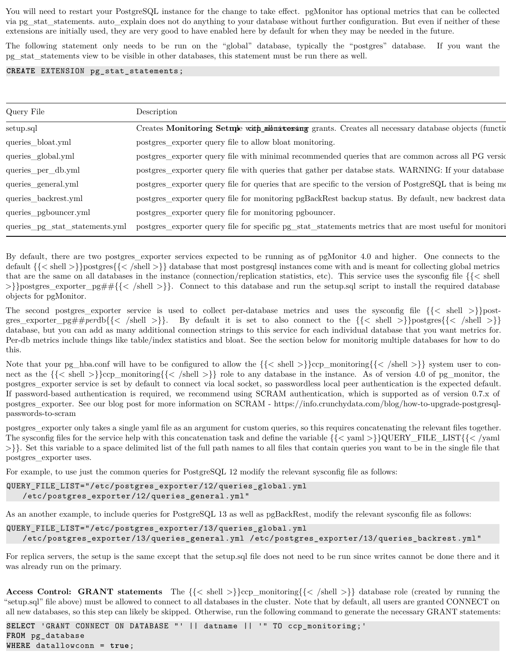You will need to restart your PostgreSQL instance for the change to take effect. pgMonitor has optional metrics that can be collected via pg\_stat\_statements. auto\_explain does not do anything to your database without further configuration. But even if neither of these extensions are initially used, they are very good to have enabled here by default for when they may be needed in the future.

The following statement only needs to be run on the "global" database, typically the "postgres" database. If you want the pg\_stat\_statements view to be visible in other databases, this statement must be run there as well.

#### **CREATE** EXTENSION pg\_stat\_statements;

| Query File            | Description                                                                                                                           |
|-----------------------|---------------------------------------------------------------------------------------------------------------------------------------|
| setup.sql             | Creates Monitoring Setupe with numbersing grants. Creates all necessary database objects (function                                    |
| queries_bloat.yml     | postgres_exporter query file to allow bloat monitoring.                                                                               |
| queries_global.yml    | postgres_exporter query file with minimal recommended queries that are common across all PG version                                   |
| queries_per_db.yml    | postgres_exporter query file with queries that gather per databse stats. WARNING: If your database                                    |
| queries_general.yml   | postgres_exporter query file for queries that are specific to the version of PostgreSQL that is being me                              |
| queries_backrest.yml  | postgres_exporter query file for monitoring pgBackRest backup status. By default, new backrest data                                   |
| queries_pgbouncer.yml | postgres_exporter query file for monitoring pgbouncer.                                                                                |
|                       | queries_pg_stat_statements.yml postgres_exporter query file for specific pg_stat_statements metrics that are most useful for monitori |

By default, there are two postgres\_exporter services expected to be running as of pgMonitor 4.0 and higher. One connects to the default {{< shell >}}postgres{{< /shell >}} database that most postgresql instances come with and is meant for collecting global metrics that are the same on all databases in the instance (connection/replication statistics, etc). This service uses the sysconfig file  $\{\langle\}\rangle$  shell >}}postgres\_exporter\_pg##{{< /shell >}}. Connect to this database and run the setup.sql script to install the required database objects for pgMonitor.

The second postgres\_exporter service is used to collect per-database metrics and uses the sysconfig file  $\{\langle\langle\ \rangle\}$ postgres\_exporter\_pg##perdb{{< /shell >}}. By default it is set to also connect to the {{< shell >}}postgres{{< /shell >}} database, but you can add as many additional connection strings to this service for each individual database that you want metrics for. Per-db metrics include things like table/index statistics and bloat. See the section below for monitorig multiple databases for how to do this.

Note that your pg\_hba.conf will have to be configured to allow the  $\{\langle \langle \text{shell } \rangle \rangle\}$ ccp\_monitoring{ $\{\langle \langle \text{shell } \rangle \rangle\}$  system user to connect as the  $\{\langle \leq \text{shell}\rangle\}$ ccp\_monitoring $\{\langle \leq \text{shell}\rangle\}$  role to any database in the instance. As of version 4.0 of pg\_monitor, the postgres\_exporter service is set by default to connect via local socket, so passwordless local peer authentication is the expected default. If password-based authentication is required, we recommend using SCRAM authentication, which is supported as of version 0.7.x of postgres\_exporter. See our blog post for more information on SCRAM - https://info.crunchydata.com/blog/how-to-upgrade-postgresqlpasswords-to-scram

postgres\_exporter only takes a single yaml file as an argument for custom queries, so this requires concatenating the relevant files together. The sysconfig files for the service help with this concatenation task and define the variable  $\{\{\langle \text{vam} \rangle\}\}$ QUERY\_FILE\_LIST $\{\{\langle \text{vam} \rangle\}\}$  $\{\geq\}\}.$  Set this variable to a space delimited list of the full path names to all files that contain queries you want to be in the single file that postgres\_exporter uses.

For example, to use just the common queries for PostgreSQL 12 modify the relevant sysconfig file as follows:

```
QUERY_FILE_LIST="/etc/postgres_exporter/12/queries_global.yml
   /etc/postgres_exporter/12/queries_general.yml"
```
As an another example, to include queries for PostgreSQL 13 as well as pgBackRest, modify the relevant sysconfig file as follows:

```
QUERY_FILE_LIST="/etc/postgres_exporter/13/queries_global.yml
   /etc/postgres_exporter/13/queries_general.yml /etc/postgres_exporter/13/queries_backrest.yml"
```
For replica servers, the setup is the same except that the setup.sql file does not need to be run since writes cannot be done there and it was already run on the primary.

**Access Control: GRANT statements** The  $\{\langle \in \text{shell } \rangle \}$ ccp\_monitoring $\{\langle \in \text{shell } \rangle \}$  database role (created by running the "setup.sql" file above) must be allowed to connect to all databases in the cluster. Note that by default, all users are granted CONNECT on all new databases, so this step can likely be skipped. Otherwise, run the following command to generate the necessary GRANT statements:

```
SELECT 'GRANT CONNECT ON DATABASE "' || datname || '" TO ccp_monitoring;'
FROM pg_database
WHERE datallowconn = true;
```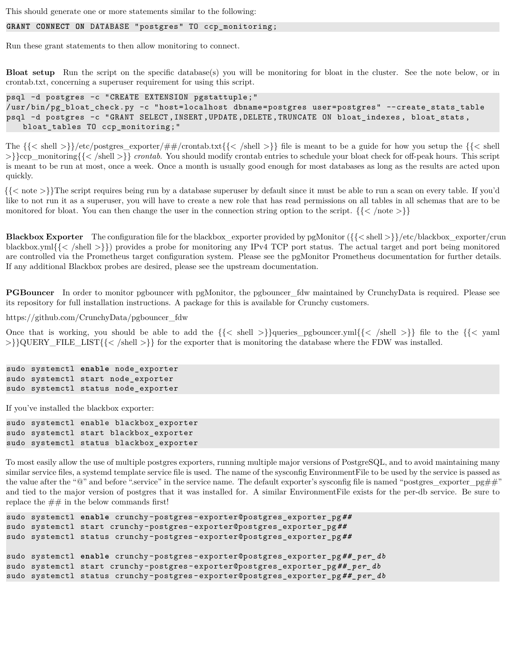This should generate one or more statements similar to the following:

#### **GRANT CONNECT ON** DATABASE "postgres" TO ccp\_monitoring;

Run these grant statements to then allow monitoring to connect.

**Bloat setup** Run the script on the specific database(s) you will be monitoring for bloat in the cluster. See the note below, or in crontab.txt, concerning a superuser requirement for using this script.

psql -d postgres -c "CREATE EXTENSION pgstattuple;" /usr/bin/pg\_bloat\_check.py -c "host=localhost dbname=postgres user=postgres" --create\_stats\_table psql -d postgres -c "GRANT SELECT ,INSERT ,UPDATE ,DELETE ,TRUNCATE ON bloat\_indexes , bloat\_stats , bloat\_tables TO ccp\_monitoring;"

The  $\{\langle \text{shell }\rangle\}/\langle \text{etc}/\text{postgres\_expert}/\# \neq /\text{contab.txt}\{\langle \text{shell }\rangle\}\}\$ file is meant to be a guide for how you setup the  $\{\langle \text{shell }\rangle\}\$ >}}ccp\_monitoring{{< /shell >}} *crontab*. You should modify crontab entries to schedule your bloat check for off-peak hours. This script is meant to be run at most, once a week. Once a month is usually good enough for most databases as long as the results are acted upon quickly.

{{< note >}}The script requires being run by a database superuser by default since it must be able to run a scan on every table. If you'd like to not run it as a superuser, you will have to create a new role that has read permissions on all tables in all schemas that are to be monitored for bloat. You can then change the user in the connection string option to the script.  $\{\langle\langle\rangle\rangle\}$ 

**Blackbox Exporter** The configuration file for the blackbox\_exporter provided by pgMonitor ( $\{\{\text{< shell >}\}\$ /etc/blackbox\_exporter/crun blackbox.yml{ $\{\langle \rangle\}$ }} provides a probe for monitoring any IPv4 TCP port status. The actual target and port being monitored are controlled via the Prometheus target configuration system. Please see the pgMonitor Prometheus documentation for further details. If any additional Blackbox probes are desired, please see the upstream documentation.

**PGBouncer** In order to monitor pgbouncer with pgMonitor, the pgbouncer\_fdw maintained by CrunchyData is required. Please see its repository for full installation instructions. A package for this is available for Crunchy customers.

https://github.com/CrunchyData/pgbouncer\_fdw

Once that is working, you should be able to add the  $\{\langle \rangle \}$  shell  $\{\langle \rangle \}$  and  $\{\langle \rangle \}$  file to the  $\{\langle \rangle \}$  file to the  $\{\langle \rangle \}$ >}}QUERY\_FILE\_LIST{{< /shell >}} for the exporter that is monitoring the database where the FDW was installed.

```
sudo systemctl enable node_exporter
sudo systemctl start node_exporter
sudo systemctl status node_exporter
```
If you've installed the blackbox exporter:

sudo systemctl enable blackbox\_exporter sudo systemctl start blackbox\_exporter sudo systemctl status blackbox\_exporter

To most easily allow the use of multiple postgres exporters, running multiple major versions of PostgreSQL, and to avoid maintaining many similar service files, a systemd template service file is used. The name of the sysconfig EnvironmentFile to be used by the service is passed as the value after the "@" and before ".service" in the service name. The default exporter's sysconfig file is named "postgres\_exporter\_pg##" and tied to the major version of postgres that it was installed for. A similar EnvironmentFile exists for the per-db service. Be sure to replace the  $\#\#$  in the below commands first!

```
sudo systemctl enable crunchy -postgres -exporter@postgres_exporter_pg##
sudo systemctl start crunchy -postgres -exporter@postgres_exporter_pg##
sudo systemctl status crunchy -postgres -exporter@postgres_exporter_pg##
sudo systemctl enable crunchy -postgres -exporter@postgres_exporter_pg##_per_db
sudo systemctl start crunchy -postgres -exporter@postgres_exporter_pg##_per_db
sudo systemctl status crunchy -postgres -exporter@postgres_exporter_pg##_per_db
```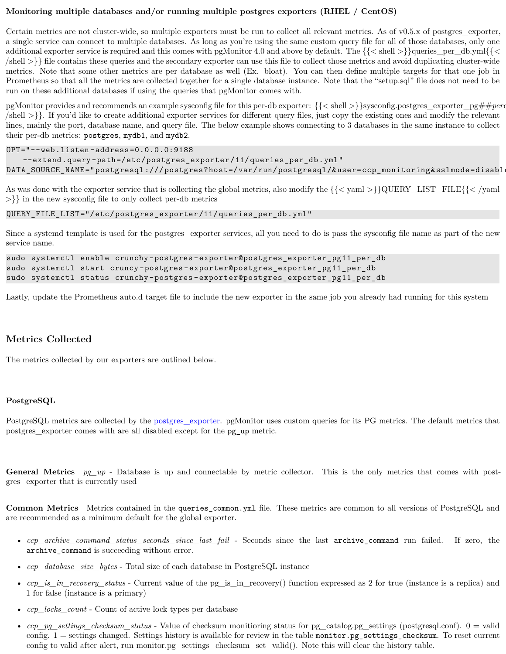#### <span id="page-9-0"></span>**Monitoring multiple databases and/or running multiple postgres exporters (RHEL / CentOS)**

Certain metrics are not cluster-wide, so multiple exporters must be run to collect all relevant metrics. As of v0.5.x of postgres\_exporter, a single service can connect to multiple databases. As long as you're using the same custom query file for all of those databases, only one additional exporter service is required and this comes with pgMonitor 4.0 and above by default. The  $\{\{\langle\}\$ shell  $\rangle\}$ queries\_per\_db.yml{ $\{\langle\}\$  $\{\text{shell} > \}\}$  file contains these queries and the secondary exporter can use this file to collect those metrics and avoid duplicating cluster-wide metrics. Note that some other metrics are per database as well (Ex. bloat). You can then define multiple targets for that one job in Prometheus so that all the metrics are collected together for a single database instance. Note that the "setup.sql" file does not need to be run on these additional databases if using the queries that pgMonitor comes with.

pgMonitor provides and recommends an example sysconfig file for this per-db exporter: {{< shell >}}sysconfig.postgres\_exporter\_pg##*per*db{{< /shell >}}. If you'd like to create additional exporter services for different query files, just copy the existing ones and modify the relevant lines, mainly the port, database name, and query file. The below example shows connecting to 3 databases in the same instance to collect their per-db metrics: postgres, mydb1, and mydb2.

```
OPT="--web.listen -address=0.0.0.0:9188
```

```
--extend.query -path=/etc/postgres_exporter/11/queries_per_db.yml"
DATA_SOURCE_NAME="postgresql:///postgres?host=/var/run/postgresql/&user=ccp_monitoring&sslmode=disabl
```
As was done with the exporter service that is collecting the global metrics, also modify the {{< yaml >}}QUERY\_LIST\_FILE{{< /yaml >}} in the new sysconfig file to only collect per-db metrics

```
QUERY_FILE_LIST="/etc/postgres_exporter/11/queries_per_db.yml"
```
Since a systemd template is used for the postgres\_exporter services, all you need to do is pass the sysconfig file name as part of the new service name.

```
sudo systemctl enable crunchy -postgres -exporter@postgres_exporter_pg11_per_db
sudo systemctl start cruncy -postgres -exporter@postgres_exporter_pg11_per_db
sudo systemctl status crunchy -postgres -exporter@postgres_exporter_pg11_per_db
```
Lastly, update the Prometheus auto.d target file to include the new exporter in the same job you already had running for this system

## <span id="page-9-1"></span>**Metrics Collected**

The metrics collected by our exporters are outlined below.

#### <span id="page-9-2"></span>**PostgreSQL**

PostgreSQL metrics are collected by the [postgres\\_exporter](https://github.com/wrouesnel/postgres_exporter). pgMonitor uses custom queries for its PG metrics. The default metrics that postgres\_exporter comes with are all disabled except for the pg\_up metric.

General Metrics  $pg\_up$  - Database is up and connectable by metric collector. This is the only metrics that comes with postgres\_exporter that is currently used

**Common Metrics** Metrics contained in the queries\_common.yml file. These metrics are common to all versions of PostgreSQL and are recommended as a minimum default for the global exporter.

- *ccp\_archive\_command\_status\_seconds\_since\_last\_fail* Seconds since the last archive\_command run failed. If zero, the archive command is succeeding without error.
- *ccp\_database\_size\_bytes* Total size of each database in PostgreSQL instance
- *ccp\_is\_in\_recovery\_status* Current value of the pg\_is\_in\_recovery() function expressed as 2 for true (instance is a replica) and 1 for false (instance is a primary)
- *ccp\_locks\_count* Count of active lock types per database
- *ccp\_pg\_settings\_checksum\_status* Value of checksum monitioring status for pg\_catalog.pg\_settings (postgresql.conf). 0 = valid config. 1 = settings changed. Settings history is available for review in the table monitor.pg\_settings\_checksum. To reset current config to valid after alert, run monitor.pg\_settings\_checksum\_set\_valid(). Note this will clear the history table.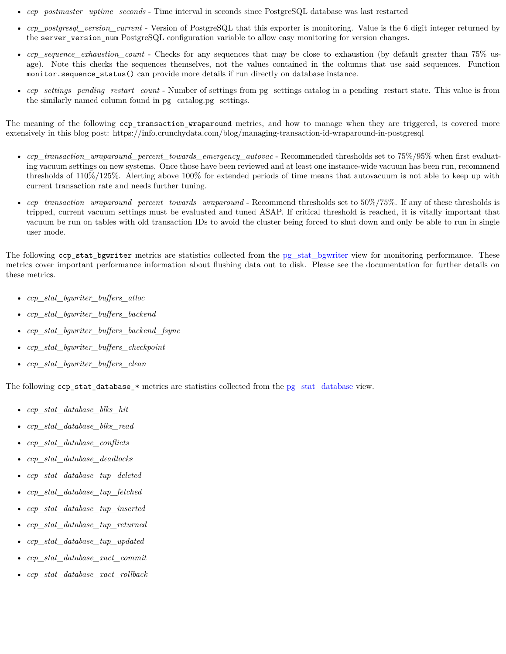- *ccp\_postmaster\_uptime\_seconds* Time interval in seconds since PostgreSQL database was last restarted
- *ccp\_postgresql\_version\_current* Version of PostgreSQL that this exporter is monitoring. Value is the 6 digit integer returned by the server version num PostgreSQL configuration variable to allow easy monitoring for version changes.
- *ccp* sequence exhaustion count Checks for any sequences that may be close to exhaustion (by default greater than 75% usage). Note this checks the sequences themselves, not the values contained in the columns that use said sequences. Function monitor.sequence status() can provide more details if run directly on database instance.
- *ccp\_settings\_pending\_restart\_count* Number of settings from pg\_settings catalog in a pending\_restart state. This value is from the similarly named column found in pg\_catalog.pg\_settings.

The meaning of the following ccp\_transaction\_wraparound metrics, and how to manage when they are triggered, is covered more extensively in this blog post: https://info.crunchydata.com/blog/managing-transaction-id-wraparound-in-postgresql

- *ccp\_transaction\_wraparound\_percent\_towards\_emergency\_autovac* Recommended thresholds set to 75%/95% when first evaluating vacuum settings on new systems. Once those have been reviewed and at least one instance-wide vacuum has been run, recommend thresholds of 110%/125%. Alerting above 100% for extended periods of time means that autovacuum is not able to keep up with current transaction rate and needs further tuning.
- *ccp\_transaction\_wraparound\_percent\_towards\_wraparound* Recommend thresholds set to 50%/75%. If any of these thresholds is tripped, current vacuum settings must be evaluated and tuned ASAP. If critical threshold is reached, it is vitally important that vacuum be run on tables with old transaction IDs to avoid the cluster being forced to shut down and only be able to run in single user mode.

The following ccp\_stat\_bgwriter metrics are statistics collected from the [pg\\_stat\\_bgwriter](https://www.postgresql.org/docs/current/monitoring-stats.html#PG-STAT-BGWRITER-VIEW) view for monitoring performance. These metrics cover important performance information about flushing data out to disk. Please see the documentation for further details on these metrics.

- *ccp\_stat\_bgwriter\_buffers\_alloc*
- *ccp\_stat\_bgwriter\_buffers\_backend*
- *ccp\_stat\_bgwriter\_buffers\_backend\_fsync*
- *ccp\_stat\_bgwriter\_buffers\_checkpoint*
- *ccp\_stat\_bgwriter\_buffers\_clean*

The following ccp\_stat\_database\_\* metrics are statistics collected from the [pg\\_stat\\_database](https://www.postgresql.org/docs/current/monitoring-stats.html#PG-STAT-DATABASE-VIEW) view.

- *ccp\_stat\_database\_blks\_hit*
- *ccp\_stat\_database\_blks\_read*
- *ccp\_stat\_database\_conflicts*
- *ccp\_stat\_database\_deadlocks*
- *ccp\_stat\_database\_tup\_deleted*
- *ccp\_stat\_database\_tup\_fetched*
- *ccp\_stat\_database\_tup\_inserted*
- *ccp\_stat\_database\_tup\_returned*
- *ccp\_stat\_database\_tup\_updated*
- *ccp\_stat\_database\_xact\_commit*
- *ccp\_stat\_database\_xact\_rollback*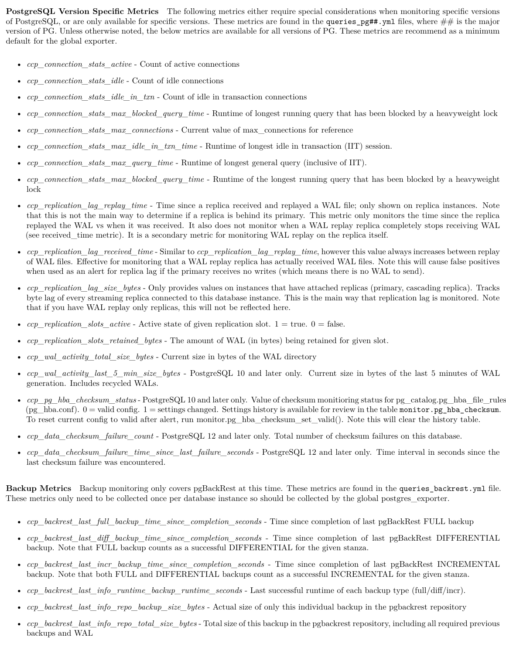**PostgreSQL Version Specific Metrics** The following metrics either require special considerations when monitoring specific versions of PostgreSQL, or are only available for specific versions. These metrics are found in the queries  $pg##$ , yml files, where  $##$  is the major version of PG. Unless otherwise noted, the below metrics are available for all versions of PG. These metrics are recommend as a minimum default for the global exporter.

- *ccp\_connection\_stats\_active* Count of active connections
- *ccp\_connection\_stats\_idle* Count of idle connections
- *ccp\_connection\_stats\_idle\_in\_txn* Count of idle in transaction connections
- *ccp\_connection\_stats\_max\_blocked\_query\_time* Runtime of longest running query that has been blocked by a heavyweight lock
- *ccp\_connection\_stats\_max\_connections* Current value of max\_connections for reference
- *ccp\_connection\_stats\_max\_idle\_in\_txn\_time* Runtime of longest idle in transaction (IIT) session.
- *ccp\_connection\_stats\_max\_query\_time* Runtime of longest general query (inclusive of IIT).
- *ccp\_connection\_stats\_max\_blocked\_query\_time* Runtime of the longest running query that has been blocked by a heavyweight lock
- *ccp\_replication\_lag\_replay\_time* Time since a replica received and replayed a WAL file; only shown on replica instances. Note that this is not the main way to determine if a replica is behind its primary. This metric only monitors the time since the replica replayed the WAL vs when it was received. It also does not monitor when a WAL replay replica completely stops receiving WAL (see received\_time metric). It is a secondary metric for monitoring WAL replay on the replica itself.
- *ccp\_replication\_lag\_received\_time* Similar to *ccp\_replication\_lag\_replay\_time*, however this value always increases between replay of WAL files. Effective for monitoring that a WAL replay replica has actually received WAL files. Note this will cause false positives when used as an alert for replica lag if the primary receives no writes (which means there is no WAL to send).
- *ccp\_replication\_lag\_size\_bytes* Only provides values on instances that have attached replicas (primary, cascading replica). Tracks byte lag of every streaming replica connected to this database instance. This is the main way that replication lag is monitored. Note that if you have WAL replay only replicas, this will not be reflected here.
- *ccp\_replication\_slots\_active* Active state of given replication slot.  $1 = \text{true}$ .  $0 = \text{false}$ .
- *ccp\_replication\_slots\_retained\_bytes* The amount of WAL (in bytes) being retained for given slot.
- *ccp\_wal\_activity\_total\_size\_bytes* Current size in bytes of the WAL directory
- *ccp\_wal\_activity\_last\_5\_min\_size\_bytes* PostgreSQL 10 and later only. Current size in bytes of the last 5 minutes of WAL generation. Includes recycled WALs.
- *ccp\_pg\_hba\_checksum\_status* PostgreSQL 10 and later only. Value of checksum monitioring status for pg\_catalog.pg\_hba\_file\_rules (pg\_hba.conf).  $0 =$  valid config.  $1 =$  settings changed. Settings history is available for review in the table monitor.pg\_hba\_checksum. To reset current config to valid after alert, run monitor.pg\_hba\_checksum\_set\_valid(). Note this will clear the history table.
- *ccp\_data\_checksum\_failure\_count* PostgreSQL 12 and later only. Total number of checksum failures on this database.
- *ccp\_data\_checksum\_failure\_time\_since\_last\_failure\_seconds* PostgreSQL 12 and later only. Time interval in seconds since the last checksum failure was encountered.

**Backup Metrics** Backup monitoring only covers pgBackRest at this time. These metrics are found in the queries\_backrest.yml file. These metrics only need to be collected once per database instance so should be collected by the global postgres exporter.

- *ccp\_backrest\_last\_full\_backup\_time\_since\_completion\_seconds* Time since completion of last pgBackRest FULL backup
- *ccp\_backrest\_last\_diff\_backup\_time\_since\_completion\_seconds* Time since completion of last pgBackRest DIFFERENTIAL backup. Note that FULL backup counts as a successful DIFFERENTIAL for the given stanza.
- *ccp\_backrest\_last\_incr\_backup\_time\_since\_completion\_seconds* Time since completion of last pgBackRest INCREMENTAL backup. Note that both FULL and DIFFERENTIAL backups count as a successful INCREMENTAL for the given stanza.
- *ccp\_backrest\_last\_info\_runtime\_backup\_runtime\_seconds* Last successful runtime of each backup type (full/diff/incr).
- *ccp\_backrest\_last\_info\_repo\_backup\_size\_bytes* Actual size of only this individual backup in the pgbackrest repository
- *ccp\_backrest\_last\_info\_repo\_total\_size\_bytes* Total size of this backup in the pgbackrest repository, including all required previous backups and WAL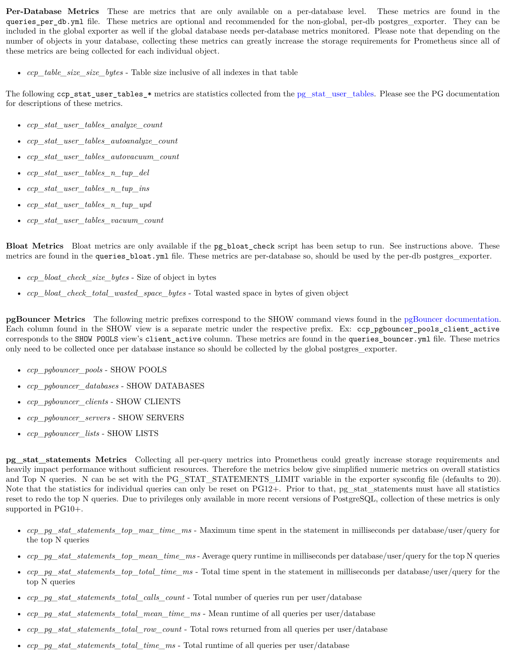**Per-Database Metrics** These are metrics that are only available on a per-database level. These metrics are found in the queries\_per\_db.yml file. These metrics are optional and recommended for the non-global, per-db postgres\_exporter. They can be included in the global exporter as well if the global database needs per-database metrics monitored. Please note that depending on the number of objects in your database, collecting these metrics can greatly increase the storage requirements for Prometheus since all of these metrics are being collected for each individual object.

• *ccp\_table\_size\_size\_bytes* - Table size inclusive of all indexes in that table

The following ccp\_stat\_user\_tables\_\* metrics are statistics collected from the [pg\\_stat\\_user\\_tables.](https://www.postgresql.org/docs/current/monitoring-stats.html#PG-STAT-ALL-TABLES-VIEW) Please see the PG documentation for descriptions of these metrics.

- *ccp\_stat\_user\_tables\_analyze\_count*
- *ccp\_stat\_user\_tables\_autoanalyze\_count*
- *ccp\_stat\_user\_tables\_autovacuum\_count*
- *ccp\_stat\_user\_tables\_n\_tup\_del*
- *ccp\_stat\_user\_tables\_n\_tup\_ins*
- *ccp\_stat\_user\_tables\_n\_tup\_upd*
- *ccp\_stat\_user\_tables\_vacuum\_count*

**Bloat Metrics** Bloat metrics are only available if the pg\_bloat\_check script has been setup to run. See instructions above. These metrics are found in the queries\_bloat.yml file. These metrics are per-database so, should be used by the per-db postgres exporter.

- *ccp\_bloat\_check\_size\_bytes* Size of object in bytes
- *ccp\_bloat\_check\_total\_wasted\_space\_bytes* Total wasted space in bytes of given object

**pgBouncer Metrics** The following metric prefixes correspond to the SHOW command views found in the [pgBouncer documentation.](https://www.pgbouncer.org/usage.html) Each column found in the SHOW view is a separate metric under the respective prefix. Ex: ccp\_pgbouncer\_pools\_client\_active corresponds to the SHOW POOLS view's client\_active column. These metrics are found in the queries\_bouncer.yml file. These metrics only need to be collected once per database instance so should be collected by the global postgres\_exporter.

- *ccp\_pgbouncer\_pools* SHOW POOLS
- *ccp\_pgbouncer\_databases* SHOW DATABASES
- *ccp\_pgbouncer\_clients* SHOW CLIENTS
- *ccp\_pgbouncer\_servers* SHOW SERVERS
- *ccp\_pgbouncer\_lists* SHOW LISTS

**pg\_stat\_statements Metrics** Collecting all per-query metrics into Prometheus could greatly increase storage requirements and heavily impact performance without sufficient resources. Therefore the metrics below give simplified numeric metrics on overall statistics and Top N queries. N can be set with the PG\_STAT\_STATEMENTS\_LIMIT variable in the exporter sysconfig file (defaults to 20). Note that the statistics for individual queries can only be reset on PG12+. Prior to that, pg\_stat\_statements must have all statistics reset to redo the top N queries. Due to privileges only available in more recent versions of PostgreSQL, collection of these metrics is only supported in PG10+.

- *ccp\_pg\_stat\_statements\_top\_max\_time\_ms* Maximum time spent in the statement in milliseconds per database/user/query for the top N queries
- *ccp\_pg\_stat\_statements\_top\_mean\_time\_ms* Average query runtime in milliseconds per database/user/query for the top N queries
- *ccp\_pg\_stat\_statements\_top\_total\_time\_ms* Total time spent in the statement in milliseconds per database/user/query for the top N queries
- *ccp\_pg\_stat\_statements\_total\_calls\_count* Total number of queries run per user/database
- *ccp\_pg\_stat\_statements\_total\_mean\_time\_ms* Mean runtime of all queries per user/database
- *ccp\_pg\_stat\_statements\_total\_row\_count* Total rows returned from all queries per user/database
- *ccp\_pg\_stat\_statements\_total\_time\_ms* Total runtime of all queries per user/database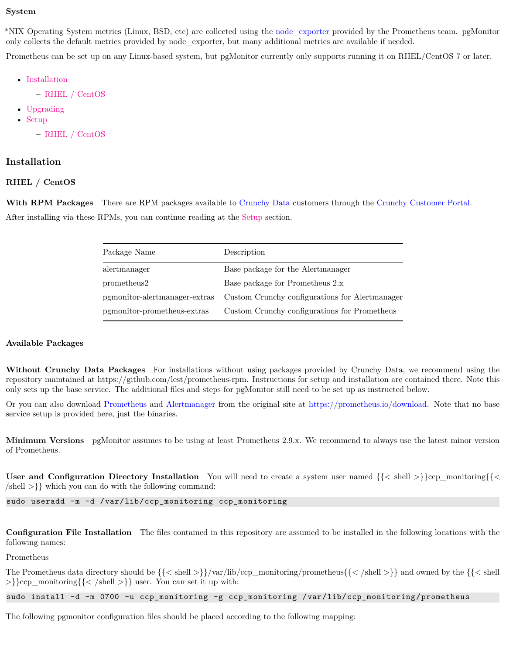#### <span id="page-13-0"></span>**System**

\*NIX Operating System metrics (Linux, BSD, etc) are collected using the [node\\_exporter](https://github.com/prometheus/node_exporter) provided by the Prometheus team. pgMonitor only collects the default metrics provided by node\_exporter, but many additional metrics are available if needed.

Prometheus can be set up on any Linux-based system, but pgMonitor currently only supports running it on RHEL/CentOS 7 or later.

- [Installation](#page-16-0)
	- **–** [RHEL / CentOS](#page-13-2)
- [Upgrading](#page-16-2)
- [Setup](#page-17-0)
	- **–** [RHEL / CentOS](#page-14-2)

#### <span id="page-13-1"></span>**Installation**

#### <span id="page-13-2"></span>**RHEL / CentOS**

**With RPM Packages** There are RPM packages available to [Crunchy Data](https://www.crunchydata.com) customers through the [Crunchy Customer Portal.](https://access.crunchydata.com/) After installing via these RPMs, you can continue reading at the [Setup](#page-17-0) section.

| Package Name                  | Description                                    |
|-------------------------------|------------------------------------------------|
| alertmanager                  | Base package for the Alertmanager              |
| prometheus2                   | Base package for Prometheus 2.x                |
| pgmonitor-alertmanager-extras | Custom Crunchy configurations for Alertmanager |
| pgmonitor-prometheus-extras   | Custom Crunchy configurations for Prometheus   |

#### **Available Packages**

**Without Crunchy Data Packages** For installations without using packages provided by Crunchy Data, we recommend using the repository maintained at https://github.com/lest/prometheus-rpm. Instructions for setup and installation are contained there. Note this only sets up the base service. The additional files and steps for pgMonitor still need to be set up as instructed below.

Or you can also download [Prometheus](https://prometheus.io/) and [Alertmanager](https://prometheus.io/docs/alerting/alertmanager/) from the original site at [https://prometheus.io/download.](https://prometheus.io/download) Note that no base service setup is provided here, just the binaries.

**Minimum Versions** pgMonitor assumes to be using at least Prometheus 2.9.x. We recommend to always use the latest minor version of Prometheus.

**User and Configuration Directory Installation** You will need to create a system user named  $\{\langle \le \text{shell} \ge \rangle\}$ ccp\_monitoring $\{\langle \le \text{hel} \ge \rangle\}$  $\{\text{shell} > \}\}$  which you can do with the following command:

sudo useradd -m -d /var/lib/ccp\_monitoring ccp\_monitoring

**Configuration File Installation** The files contained in this repository are assumed to be installed in the following locations with the following names:

Prometheus

The Prometheus data directory should be  $\{\langle \langle \text{shell } \rangle \} \rangle$  var/lib/ccp\_monitoring/prometheus $\{\langle \langle \text{shell } \rangle \} \}$  and owned by the  $\{\langle \langle \text{shell } \rangle \}$  $>\}$ ccp\_monitoring{{ $\langle$  /shell  $>\}$ } user. You can set it up with:

sudo install -d -m 0700 -u ccp\_monitoring -g ccp\_monitoring /var/lib/ccp\_monitoring/prometheus

The following pgmonitor configuration files should be placed according to the following mapping: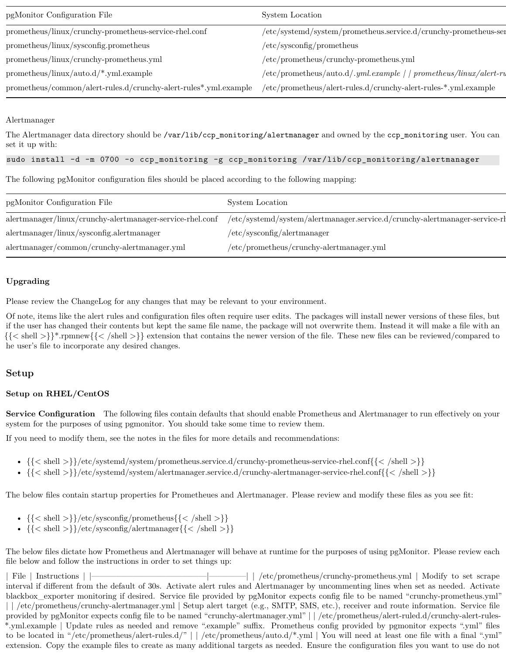| pgMonitor Configuration File                                                                                                     | System Location                                                      |
|----------------------------------------------------------------------------------------------------------------------------------|----------------------------------------------------------------------|
| prometheus/linux/crunchy-prometheus-service-rhel.conf                                                                            | $/etc/systemd/system/prometheus.service.d/crunchy-prometheus-sen$    |
| prometheus/linux/sysconfig.prometheus                                                                                            | /etc/sy <sub>sconfig</sub> /prometheus                               |
| $prometheus/linux/crunchy-prometheus.$ yml                                                                                       | $/etc/prometheus/crunchy-prometheus.\nyml$                           |
| $prometheus/linux/auto.d/*.yml.example$                                                                                          | $/etc/prometheus/auto.d/.yml. example / / prometheus/linux/alert-ru$ |
| prometheus/common/alert-rules.d/crunchy-alert-rules*.yml.example /etc/prometheus/alert-rules.d/crunchy-alert-rules-*.yml.example |                                                                      |

#### Alertmanager

The Alertmanager data directory should be /var/lib/ccp\_monitoring/alertmanager and owned by the ccp\_monitoring user. You can set it up with:

## sudo install -d -m 0700 -o ccp\_monitoring -g ccp\_monitoring /var/lib/ccp\_monitoring/alertmanager

The following pgMonitor configuration files should be placed according to the following mapping:

| pgMonitor Configuration File                                          | System Location                                                            |
|-----------------------------------------------------------------------|----------------------------------------------------------------------------|
| alertmanager/linux/crunchy-alertmanager-service-rhel.conf             | /etc/systemd/system/alertmanager.service.d/crunchy-alertmanager-service-rh |
| $\text{alternanger}/\text{linux}/\text{sysconfig}.\text{alternanger}$ | $/etc$ /sysconfig/alertmanager                                             |
| $\lambda$ alertmanager/common/crunchy-alertmanager.yml                | $/etc/prometheus/crunchy-alertmanager.yml$                                 |

#### <span id="page-14-0"></span>**Upgrading**

Please review the ChangeLog for any changes that may be relevant to your environment.

Of note, items like the alert rules and configuration files often require user edits. The packages will install newer versions of these files, but if the user has changed their contents but kept the same file name, the package will not overwrite them. Instead it will make a file with an {{< shell >}}\*.rpmnew{{< /shell >}} extension that contains the newer version of the file. These new files can be reviewed/compared to he user's file to incorporate any desired changes.

## <span id="page-14-1"></span>**Setup**

#### <span id="page-14-2"></span>**Setup on RHEL/CentOS**

**Service Configuration** The following files contain defaults that should enable Prometheus and Alertmanager to run effectively on your system for the purposes of using pgmonitor. You should take some time to review them.

If you need to modify them, see the notes in the files for more details and recommendations:

- $({\{\langle \phi_{\text{shell}} \rangle\}}$  /etc/systemd/system/prometheus.service.d/crunchy-prometheus-service-rhel.conf{{ $\{\langle \phi_{\text{shell}} \rangle\}$ }
- {{< shell >}}/etc/systemd/system/alertmanager.service.d/crunchy-alertmanager-service-rhel.conf{{< /shell >}}

The below files contain startup properties for Prometheues and Alertmanager. Please review and modify these files as you see fit:

- $\{\langle \langle \rangle \rangle \neq \langle \langle \rangle \langle \rangle \langle \rangle \langle \langle \rangle \rangle \rangle \$
- $\{\{\langle\ \ \mathrm{shell}\ \ \rangle\}\}/\text{etc/sysconfig/alternanager}\{\{\ \ \mathrm{/shell}\ \ \rangle\}\}\$

The below files dictate how Prometheus and Alertmanager will behave at runtime for the purposes of using pgMonitor. Please review each file below and follow the instructions in order to set things up:

| File | Instructions | |————————————————————| | /etc/prometheus/crunchy-prometheus.yml | Modify to set scrape interval if different from the default of 30s. Activate alert rules and Alertmanager by uncommenting lines when set as needed. Activate blackbox\_exporter monitoring if desired. Service file provided by pgMonitor expects config file to be named "crunchy-prometheus.yml" | | /etc/prometheus/crunchy-alertmanager.yml | Setup alert target (e.g., SMTP, SMS, etc.), receiver and route information. Service file provided by pgMonitor expects config file to be named "crunchy-alertmanager.yml" | | /etc/prometheus/alert-ruled.d/crunchy-alert-rules- \*.yml.example | Update rules as needed and remove ".example" suffix. Prometheus config provided by pgmonitor expects ".yml" files to be located in "/etc/prometheus/alert-rules.d/" | | /etc/prometheus/auto.d/\*.yml | You will need at least one file with a final ".yml" extension. Copy the example files to create as many additional targets as needed. Ensure the configuration files you want to use do not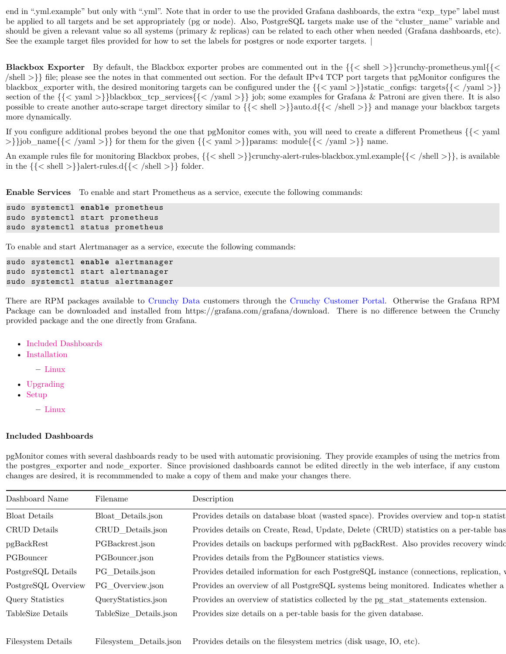end in "yml.example" but only with "yml". Note that in order to use the provided Grafana dashboards, the extra "exp\_type" label must be applied to all targets and be set appropriately (pg or node). Also, PostgreSQL targets make use of the "cluster\_name" variable and should be given a relevant value so all systems (primary & replicas) can be related to each other when needed (Grafana dashboards, etc). See the example target files provided for how to set the labels for postgres or node exporter targets.

**Blackbox Exporter** By default, the Blackbox exporter probes are commented out in the  $\{\{\langle\}\$ shell >  $\}$ crunchy-prometheus.yml{ $\{\langle\}\$  $\{\text{shell} >\}$  file; please see the notes in that commented out section. For the default IPv4 TCP port targets that pgMonitor configures the blackbox\_exporter with, the desired monitoring targets can be configured under the  $\{\langle\langle \text{yam} \rangle\rangle\}$ static\_configs: targets $\{\langle \langle \text{yam} \rangle\rangle\}$ section of the  $\{\langle \text{yam} \rangle\}$ blackbox\_tcp\_services{ $\{\langle \text{yam} \rangle\}$  job; some examples for Grafana & Patroni are given there. It is also possible to create another auto-scrape target directory similar to {{< shell >}}auto.d{{< /shell >}} and manage your blackbox targets more dynamically.

If you configure additional probes beyond the one that pgMonitor comes with, you will need to create a different Prometheus {{< yaml  $>\}$ job\_name{{< /yaml  $>\}$ } for them for the given {{< yaml  $>\}$ }params: module{{< /yaml  $>\}$ } name.

An example rules file for monitoring Blackbox probes, {{< shell >}}crunchy-alert-rules-blackbox.yml.example{{< /shell >}}, is available in the  $\{\{\langle \text{shell}\rangle\}\}\$ alert-rules.d $\{\{\langle \text{shell}\rangle\}\}\$ folder.

**Enable Services** To enable and start Prometheus as a service, execute the following commands:

```
sudo systemctl enable prometheus
sudo systemctl start prometheus
sudo systemctl status prometheus
```
To enable and start Alertmanager as a service, execute the following commands:

```
sudo systemctl enable alertmanager
sudo systemctl start alertmanager
sudo systemctl status alertmanager
```
There are RPM packages available to [Crunchy Data](https://www.crunchydata.com) customers through the [Crunchy Customer Portal.](https://access.crunchydata.com/) Otherwise the Grafana RPM Package can be downloaded and installed from https://grafana.com/grafana/download. There is no difference between the Crunchy provided package and the one directly from Grafana.

- [Included Dashboards](#page-15-0)
- [Installation](#page-16-0)
	- **–** [Linux](#page-16-1)
- [Upgrading](#page-16-2)
- [Setup](#page-17-0)
	- **–** [Linux](#page-17-1)

#### <span id="page-15-0"></span>**Included Dashboards**

pgMonitor comes with several dashboards ready to be used with automatic provisioning. They provide examples of using the metrics from the postgres\_exporter and node\_exporter. Since provisioned dashboards cannot be edited directly in the web interface, if any custom changes are desired, it is recommmended to make a copy of them and make your changes there.

| Dashboard Name       | Filename               | Description                                                                             |
|----------------------|------------------------|-----------------------------------------------------------------------------------------|
| <b>Bloat Details</b> | Bloat Details.json     | Provides details on database bloat (wasted space). Provides overview and top-n statist  |
| CRUD Details         | CRUD Details.json      | Provides details on Create, Read, Update, Delete (CRUD) statistics on a per-table bas   |
| pgBackRest           | PGBackrest.json        | Provides details on backups performed with pgBackRest. Also provides recovery window    |
| PGBouncer            | PGBouncer.json         | Provides details from the PgBouncer statistics views.                                   |
| PostgreSQL Details   | PG Details.json        | Provides detailed information for each PostgreSQL instance (connections, replication, y |
| PostgreSQL Overview  | PG Overview.json       | Provides an overview of all PostgreSQL systems being monitored. Indicates whether a     |
| Query Statistics     | QueryStatistics.json   | Provides an overview of statistics collected by the pg_stat_statements extension.       |
| TableSize Details    | TableSize Details.json | Provides size details on a per-table basis for the given database.                      |
|                      |                        |                                                                                         |

Filesystem Details Filesystem Details.json Provides details on the filesystem metrics (disk usage, IO, etc).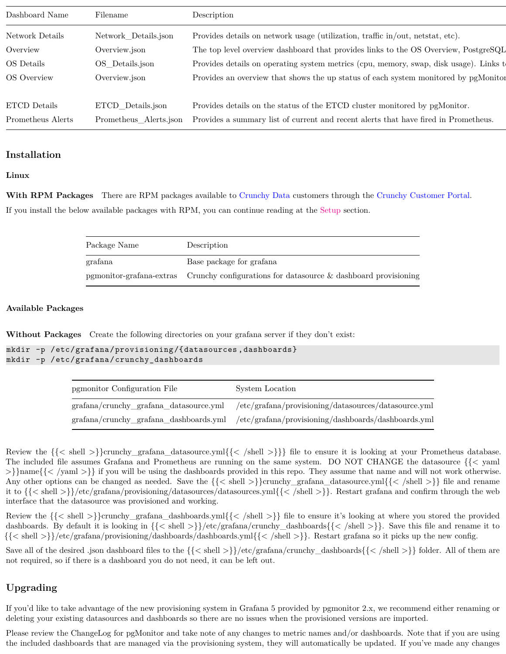| Dashboard Name    | Filename               | Description                                                                           |
|-------------------|------------------------|---------------------------------------------------------------------------------------|
| Network Details   | Network_Details.json   | Provides details on network usage (utilization, traffic in/out, netstat, etc).        |
| Overview          | Overview.json          | The top level overview dashboard that provides links to the OS Overview, PostgreSQL   |
| OS Details        | OS Details.json        | Provides details on operating system metrics (cpu, memory, swap, disk usage). Links t |
| OS Overview       | Overview.json          | Provides an overview that shows the up status of each system monitored by pgMonitor   |
|                   |                        |                                                                                       |
| ETCD Details      | ETCD Details.json      | Provides details on the status of the ETCD cluster monitored by pgMonitor.            |
| Prometheus Alerts | Prometheus Alerts.json | Provides a summary list of current and recent alerts that have fired in Prometheus.   |

## <span id="page-16-0"></span>**Installation**

#### <span id="page-16-1"></span>**Linux**

**With RPM Packages** There are RPM packages available to [Crunchy Data](https://www.crunchydata.com) customers through the [Crunchy Customer Portal.](https://access.crunchydata.com/) If you install the below available packages with RPM, you can continue reading at the [Setup](#page-17-0) section.

| Package Name | Description                                                                          |
|--------------|--------------------------------------------------------------------------------------|
| grafana      | Base package for grafana                                                             |
|              | parameter parameters crunchy configurations for data source & dashboard provisioning |

#### **Available Packages**

**Without Packages** Create the following directories on your grafana server if they don't exist:

```
mkdir -p /etc/grafana/provisioning/{datasources ,dashboards}
mkdir -p /etc/grafana/crunchy_dashboards
```

| pgmonitor Configuration File | System Location                                                                             |  |
|------------------------------|---------------------------------------------------------------------------------------------|--|
|                              | grafana/crunchy_grafana_datasource.yml /etc/grafana/provisioning/datasources/datasource.yml |  |
|                              | grafana/crunchy_grafana_dashboards.yml /etc/grafana/provisioning/dashboards/dashboards.yml  |  |

Review the  $\{\leq s$ hell  $>\}$ crunchy\_grafana\_datasource.yml $\{\leq s\}$ hell  $>\}$ }} file to ensure it is looking at your Prometheus database. The included file assumes Grafana and Prometheus are running on the same system. DO NOT CHANGE the datasource {{< yaml >}}name{{< /yaml >}} if you will be using the dashboards provided in this repo. They assume that name and will not work otherwise. Any other options can be changed as needed. Save the  $\{\langle \le \text{shell} \rangle\}$ crunchy\_grafana\_datasource.yml $\{\langle \le \text{shell} \rangle\}$  file and rename it to {{< shell >}}/etc/grafana/provisioning/datasources/datasources.yml{{< /shell >}}. Restart grafana and confirm through the web interface that the datasource was provisioned and working.

Review the  $\{\langle \text{shell }\rangle\}$ crunchy\_grafana\_dashboards.yml $\{\langle \text{shell }\rangle\}$  file to ensure it's looking at where you stored the provided dashboards. By default it is looking in {{< shell >}}/etc/grafana/crunchy\_dashboards{{< /shell >}}. Save this file and rename it to {{< shell >}}/etc/grafana/provisioning/dashboards/dashboards.yml{{< /shell >}}. Restart grafana so it picks up the new config.

Save all of the desired .json dashboard files to the  $\{\langle \text{shell } \rangle\}$ /etc/grafana/crunchy\_dashboards{ $\{\langle \text{shell } \rangle\}$ } folder. All of them are not required, so if there is a dashboard you do not need, it can be left out.

# <span id="page-16-2"></span>**Upgrading**

If you'd like to take advantage of the new provisioning system in Grafana 5 provided by pgmonitor 2.x, we recommend either renaming or deleting your existing datasources and dashboards so there are no issues when the provisioned versions are imported.

Please review the ChangeLog for pgMonitor and take note of any changes to metric names and/or dashboards. Note that if you are using the included dashboards that are managed via the provisioning system, they will automatically be updated. If you've made any changes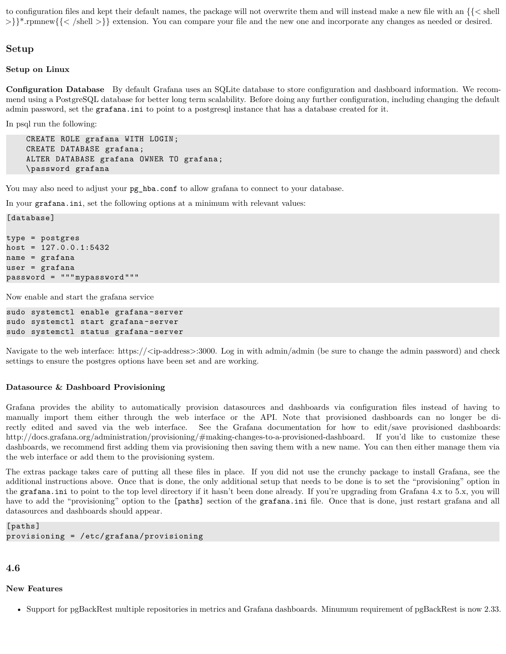to configuration files and kept their default names, the package will not overwrite them and will instead make a new file with an {{< shell >}}\*.rpmnew{{< /shell >}} extension. You can compare your file and the new one and incorporate any changes as needed or desired.

### <span id="page-17-0"></span>**Setup**

<span id="page-17-1"></span>**Setup on Linux**

[database]

**Configuration Database** By default Grafana uses an SQLite database to store configuration and dashboard information. We recommend using a PostgreSQL database for better long term scalability. Before doing any further configuration, including changing the default admin password, set the grafana.ini to point to a postgresql instance that has a database created for it.

In psql run the following:

CREATE ROLE grafana WITH LOGIN; CREATE DATABASE grafana; ALTER DATABASE grafana OWNER TO grafana; \password grafana

You may also need to adjust your  $pg\_hba.comf$  to allow grafana to connect to your database.

In your grafana.ini, set the following options at a minimum with relevant values:

```
type = postgres
host = 127.0.0.1:5432name = grafana
user = grafana
password = """mypassword"""
```
Now enable and start the grafana service

```
sudo systemctl enable grafana-server
sudo systemctl start grafana -server
sudo systemctl status grafana-server
```
Navigate to the web interface: https:// $\langle$ ip-address $>$ :3000. Log in with admin/admin (be sure to change the admin password) and check settings to ensure the postgres options have been set and are working.

#### <span id="page-17-2"></span>**Datasource & Dashboard Provisioning**

Grafana provides the ability to automatically provision datasources and dashboards via configuration files instead of having to manually import them either through the web interface or the API. Note that provisioned dashboards can no longer be directly edited and saved via the web interface. See the Grafana documentation for how to edit/save provisioned dashboards: http://docs.grafana.org/administration/provisioning/#making-changes-to-a-provisioned-dashboard. If you'd like to customize these dashboards, we recommend first adding them via provisioning then saving them with a new name. You can then either manage them via the web interface or add them to the provisioning system.

The extras package takes care of putting all these files in place. If you did not use the crunchy package to install Grafana, see the additional instructions above. Once that is done, the only additional setup that needs to be done is to set the "provisioning" option in the grafana.ini to point to the top level directory if it hasn't been done already. If you're upgrading from Grafana 4.x to 5.x, you will have to add the "provisioning" option to the [paths] section of the grafana.ini file. Once that is done, just restart grafana and all datasources and dashboards should appear.

```
[paths]
provisioning = /etc/grafana/provisioning
```
## <span id="page-17-3"></span>**4.6**

#### <span id="page-17-4"></span>**New Features**

• Support for pgBackRest multiple repositories in metrics and Grafana dashboards. Minumum requirement of pgBackRest is now 2.33.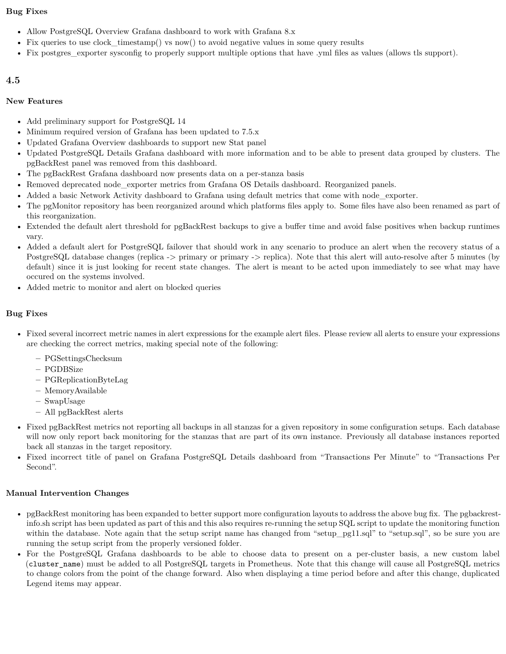## <span id="page-18-0"></span>**Bug Fixes**

- Allow PostgreSQL Overview Grafana dashboard to work with Grafana 8.x
- Fix queries to use clock timestamp() vs now() to avoid negative values in some query results
- Fix postgres\_exporter sysconfig to properly support multiple options that have .yml files as values (allows tls support).

## <span id="page-18-1"></span>**4.5**

## <span id="page-18-2"></span>**New Features**

- Add preliminary support for PostgreSQL 14
- Minimum required version of Grafana has been updated to 7.5.x
- Updated Grafana Overview dashboards to support new Stat panel
- Updated PostgreSQL Details Grafana dashboard with more information and to be able to present data grouped by clusters. The pgBackRest panel was removed from this dashboard.
- The pgBackRest Grafana dashboard now presents data on a per-stanza basis
- Removed deprecated node exporter metrics from Grafana OS Details dashboard. Reorganized panels.
- Added a basic Network Activity dashboard to Grafana using default metrics that come with node\_exporter.
- The pgMonitor repository has been reorganized around which platforms files apply to. Some files have also been renamed as part of this reorganization.
- Extended the default alert threshold for pgBackRest backups to give a buffer time and avoid false positives when backup runtimes vary.
- Added a default alert for PostgreSQL failover that should work in any scenario to produce an alert when the recovery status of a PostgreSQL database changes (replica -> primary or primary -> replica). Note that this alert will auto-resolve after 5 minutes (by default) since it is just looking for recent state changes. The alert is meant to be acted upon immediately to see what may have occured on the systems involved.
- Added metric to monitor and alert on blocked queries

# <span id="page-18-3"></span>**Bug Fixes**

- Fixed several incorrect metric names in alert expressions for the example alert files. Please review all alerts to ensure your expressions are checking the correct metrics, making special note of the following:
	- **–** PGSettingsChecksum
	- **–** PGDBSize
	- **–** PGReplicationByteLag
	- **–** MemoryAvailable
	- **–** SwapUsage
	- **–** All pgBackRest alerts
- Fixed pgBackRest metrics not reporting all backups in all stanzas for a given repository in some configuration setups. Each database will now only report back monitoring for the stanzas that are part of its own instance. Previously all database instances reported back all stanzas in the target repository.
- Fixed incorrect title of panel on Grafana PostgreSQL Details dashboard from "Transactions Per Minute" to "Transactions Per Second".

# <span id="page-18-4"></span>**Manual Intervention Changes**

- pgBackRest monitoring has been expanded to better support more configuration layouts to address the above bug fix. The pgbackrestinfo.sh script has been updated as part of this and this also requires re-running the setup SQL script to update the monitoring function within the database. Note again that the setup script name has changed from "setup-pg11.sql" to "setup.sql", so be sure you are running the setup script from the properly versioned folder.
- For the PostgreSQL Grafana dashboards to be able to choose data to present on a per-cluster basis, a new custom label (cluster\_name) must be added to all PostgreSQL targets in Prometheus. Note that this change will cause all PostgreSQL metrics to change colors from the point of the change forward. Also when displaying a time period before and after this change, duplicated Legend items may appear.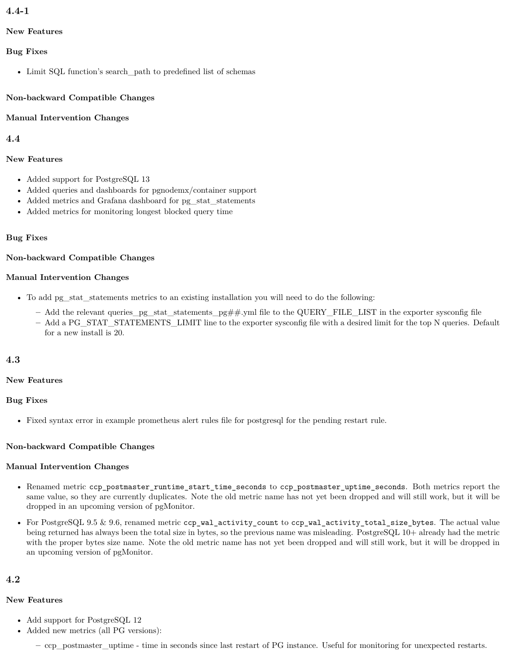# <span id="page-19-0"></span>**4.4-1**

## <span id="page-19-1"></span>**New Features**

## <span id="page-19-2"></span>**Bug Fixes**

• Limit SQL function's search\_path to predefined list of schemas

## <span id="page-19-3"></span>**Non-backward Compatible Changes**

## <span id="page-19-4"></span>**Manual Intervention Changes**

## <span id="page-19-5"></span>**4.4**

## <span id="page-19-6"></span>**New Features**

- Added support for PostgreSQL 13
- Added queries and dashboards for pgnodemx/container support
- Added metrics and Grafana dashboard for pg\_stat\_statements
- Added metrics for monitoring longest blocked query time

## <span id="page-19-7"></span>**Bug Fixes**

## <span id="page-19-8"></span>**Non-backward Compatible Changes**

## <span id="page-19-9"></span>**Manual Intervention Changes**

- To add pg\_stat\_statements metrics to an existing installation you will need to do the following:
	- **–** Add the relevant queries\_pg\_stat\_statements\_pg##.yml file to the QUERY\_FILE\_LIST in the exporter sysconfig file
	- **–** Add a PG\_STAT\_STATEMENTS\_LIMIT line to the exporter sysconfig file with a desired limit for the top N queries. Default for a new install is 20.

# <span id="page-19-10"></span>**4.3**

## <span id="page-19-11"></span>**New Features**

## <span id="page-19-12"></span>**Bug Fixes**

• Fixed syntax error in example prometheus alert rules file for postgresql for the pending restart rule.

# <span id="page-19-13"></span>**Non-backward Compatible Changes**

## <span id="page-19-14"></span>**Manual Intervention Changes**

- Renamed metric ccp\_postmaster\_runtime\_start\_time\_seconds to ccp\_postmaster\_uptime\_seconds. Both metrics report the same value, so they are currently duplicates. Note the old metric name has not yet been dropped and will still work, but it will be dropped in an upcoming version of pgMonitor.
- For PostgreSQL 9.5  $\&$  9.6, renamed metric ccp\_wal\_activity\_count to ccp\_wal\_activity\_total\_size\_bytes. The actual value being returned has always been the total size in bytes, so the previous name was misleading. PostgreSQL 10+ already had the metric with the proper bytes size name. Note the old metric name has not yet been dropped and will still work, but it will be dropped in an upcoming version of pgMonitor.

# <span id="page-19-15"></span>**4.2**

## <span id="page-19-16"></span>**New Features**

- Add support for PostgreSQL 12
- Added new metrics (all PG versions):

**–** ccp\_postmaster\_uptime - time in seconds since last restart of PG instance. Useful for monitoring for unexpected restarts.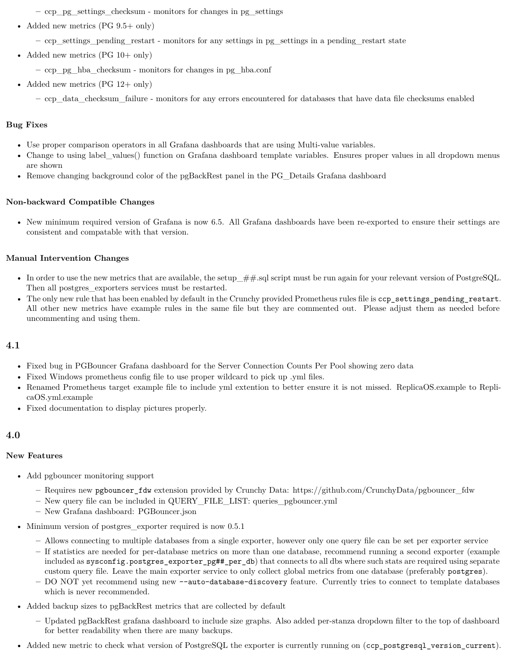**–** ccp\_pg\_settings\_checksum - monitors for changes in pg\_settings

• Added new metrics (PG 9.5+ only)

**–** ccp\_settings\_pending\_restart - monitors for any settings in pg\_settings in a pending\_restart state

• Added new metrics (PG 10+ only)

**–** ccp\_pg\_hba\_checksum - monitors for changes in pg\_hba.conf

• Added new metrics  $(PG 12 + only)$ 

**–** ccp\_data\_checksum\_failure - monitors for any errors encountered for databases that have data file checksums enabled

#### <span id="page-20-0"></span>**Bug Fixes**

- Use proper comparison operators in all Grafana dashboards that are using Multi-value variables.
- Change to using label values() function on Grafana dashboard template variables. Ensures proper values in all dropdown menus are shown
- Remove changing background color of the pgBackRest panel in the PG\_Details Grafana dashboard

#### <span id="page-20-1"></span>**Non-backward Compatible Changes**

• New minimum required version of Grafana is now 6.5. All Grafana dashboards have been re-exported to ensure their settings are consistent and compatable with that version.

#### <span id="page-20-2"></span>**Manual Intervention Changes**

- In order to use the new metrics that are available, the setup  $##$  sql script must be run again for your relevant version of PostgreSQL. Then all postgres exporters services must be restarted.
- The only new rule that has been enabled by default in the Crunchy provided Prometheus rules file is ccp\_settings\_pending\_restart. All other new metrics have example rules in the same file but they are commented out. Please adjust them as needed before uncommenting and using them.

# <span id="page-20-3"></span>**4.1**

- Fixed bug in PGBouncer Grafana dashboard for the Server Connection Counts Per Pool showing zero data
- Fixed Windows prometheus config file to use proper wildcard to pick up .yml files.
- Renamed Prometheus target example file to include yml extention to better ensure it is not missed. ReplicaOS.example to ReplicaOS.yml.example
- Fixed documentation to display pictures properly.

## <span id="page-20-4"></span>**4.0**

#### <span id="page-20-5"></span>**New Features**

- Add pgbouncer monitoring support
	- **–** Requires new pgbouncer\_fdw extension provided by Crunchy Data: https://github.com/CrunchyData/pgbouncer\_fdw
	- **–** New query file can be included in QUERY\_FILE\_LIST: queries\_pgbouncer.yml
	- **–** New Grafana dashboard: PGBouncer.json
- Minimum version of postgres\_exporter required is now 0.5.1
	- **–** Allows connecting to multiple databases from a single exporter, however only one query file can be set per exporter service
	- **–** If statistics are needed for per-database metrics on more than one database, recommend running a second exporter (example included as sysconfig.postgres\_exporter\_pg##\_per\_db) that connects to all dbs where such stats are required using separate custom query file. Leave the main exporter service to only collect global metrics from one database (preferably postgres).
	- **–** DO NOT yet recommend using new --auto-database-discovery feature. Currently tries to connect to template databases which is never recommended.
- Added backup sizes to pgBackRest metrics that are collected by default
	- **–** Updated pgBackRest grafana dashboard to include size graphs. Also added per-stanza dropdown filter to the top of dashboard for better readability when there are many backups.
- Added new metric to check what version of PostgreSQL the exporter is currently running on (ccp\_postgresql\_version\_current).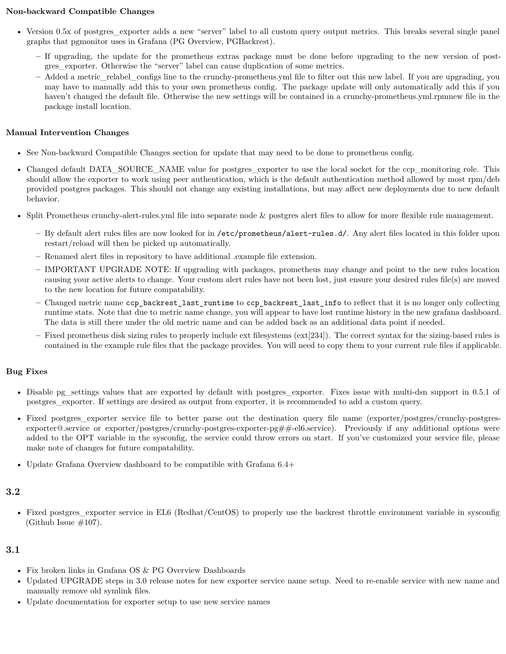## <span id="page-21-0"></span>**Non-backward Compatible Changes**

- Version 0.5x of postgres exporter adds a new "server" label to all custom query output metrics. This breaks several single panel graphs that pgmonitor uses in Grafana (PG Overview, PGBackrest).
	- **–** If upgrading, the update for the prometheus extras package must be done before upgrading to the new version of postgres\_exporter. Otherwise the "server" label can cause duplication of some metrics.
	- **–** Added a metric\_relabel\_configs line to the crunchy-prometheus.yml file to filter out this new label. If you are upgrading, you may have to manually add this to your own prometheus config. The package update will only automatically add this if you haven't changed the default file. Otherwise the new settings will be contained in a crunchy-prometheus.yml.rpmnew file in the package install location.

# <span id="page-21-1"></span>**Manual Intervention Changes**

- See Non-backward Compatible Changes section for update that may need to be done to prometheus config.
- Changed default DATA\_SOURCE\_NAME value for postgres\_exporter to use the local socket for the ccp\_monitoring role. This should allow the exporter to work using peer authentication, which is the default authentication method allowed by most rpm/deb provided postgres packages. This should not change any existing installations, but may affect new deployments due to new default behavior.
- Split Prometheus crunchy-alert-rules.yml file into separate node & postgres alert files to allow for more flexible rule management.
	- **–** By default alert rules files are now looked for in /etc/prometheus/alert-rules.d/. Any alert files located in this folder upon restart/reload will then be picked up automatically.
	- **–** Renamed alert files in repository to have additional .example file extension.
	- **–** IMPORTANT UPGRADE NOTE: If upgrading with packages, prometheus may change and point to the new rules location causing your active alerts to change. Your custom alert rules have not been lost, just ensure your desired rules file(s) are moved to the new location for future compatability.
	- **–** Changed metric name ccp\_backrest\_last\_runtime to ccp\_backrest\_last\_info to reflect that it is no longer only collecting runtime stats. Note that due to metric name change, you will appear to have lost runtime history in the new grafana dashboard. The data is still there under the old metric name and can be added back as an additional data point if needed.
	- **–** Fixed prometheus disk sizing rules to properly include ext filesystems (ext[234]). The correct syntax for the sizing-based rules is contained in the example rule files that the package provides. You will need to copy them to your current rule files if applicable.

## <span id="page-21-2"></span>**Bug Fixes**

- Disable pg\_settings values that are exported by default with postgres\_exporter. Fixes issue with multi-dsn support in 0.5.1 of postgres\_exporter. If settings are desired as output from exporter, it is recommended to add a custom query.
- Fixed postgres\_exporter service file to better parse out the destination query file name (exporter/postgres/crunchy-postgresexporter@.service or exporter/postgres/crunchy-postgres-exporter-pg##-el6.service). Previously if any additional options were added to the OPT variable in the sysconfig, the service could throw errors on start. If you've customized your service file, please make note of changes for future compatability.
- Update Grafana Overview dashboard to be compatible with Grafana 6.4+

# <span id="page-21-3"></span>**3.2**

• Fixed postgres\_exporter service in EL6 (Redhat/CentOS) to properly use the backrest throttle environment variable in sysconfig (Github Issue  $\#107$ ).

- <span id="page-21-4"></span>• Fix broken links in Grafana OS & PG Overview Dashboards
- Updated UPGRADE steps in 3.0 release notes for new exporter service name setup. Need to re-enable service with new name and manually remove old symlink files.
- Update documentation for exporter setup to use new service names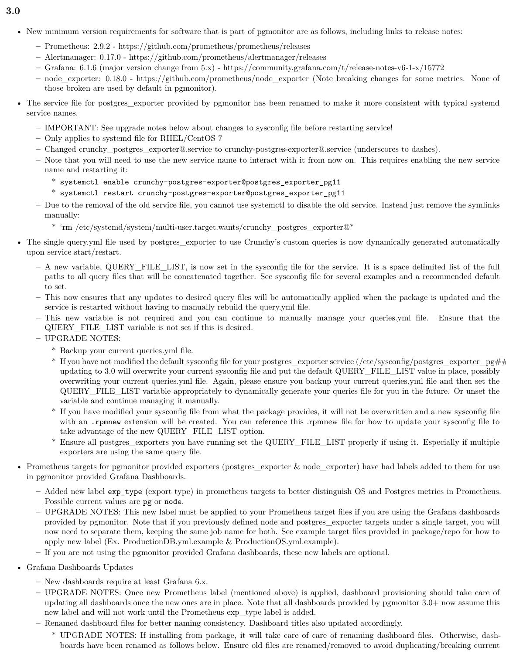- <span id="page-22-0"></span>**3.0**
	- New minimum version requirements for software that is part of pgmonitor are as follows, including links to release notes:
		- **–** Prometheus: 2.9.2 https://github.com/prometheus/prometheus/releases
		- **–** Alertmanager: 0.17.0 https://github.com/prometheus/alertmanager/releases
		- **–** Grafana: 6.1.6 (major version change from 5.x) https://community.grafana.com/t/release-notes-v6-1-x/15772
		- **–** node\_exporter: 0.18.0 https://github.com/prometheus/node\_exporter (Note breaking changes for some metrics. None of those broken are used by default in pgmonitor).
	- The service file for postgres\_exporter provided by pgmonitor has been renamed to make it more consistent with typical systemd service names.
		- **–** IMPORTANT: See upgrade notes below about changes to sysconfig file before restarting service!
		- **–** Only applies to systemd file for RHEL/CentOS 7
		- **–** Changed crunchy\_postgres\_exporter@.service to crunchy-postgres-exporter@.service (underscores to dashes).
		- **–** Note that you will need to use the new service name to interact with it from now on. This requires enabling the new service name and restarting it:
			- \* systemctl enable crunchy-postgres-exporter@postgres\_exporter\_pg11
			- $^\ast$  systemctl restart crunchy-postgres-exporter@postgres\_exporter\_pg11
		- **–** Due to the removal of the old service file, you cannot use systemctl to disable the old service. Instead just remove the symlinks manually:
			- $^*$  'rm /etc/systemd/system/multi-user.target.wants/crunchy\_postgres\_exporter@\*  $\,$
	- The single query, yml file used by postgres exporter to use Crunchy's custom queries is now dynamically generated automatically upon service start/restart.
		- **–** A new variable, QUERY\_FILE\_LIST, is now set in the sysconfig file for the service. It is a space delimited list of the full paths to all query files that will be concatenated together. See sysconfig file for several examples and a recommended default to set.
		- **–** This now ensures that any updates to desired query files will be automatically applied when the package is updated and the service is restarted without having to manually rebuild the query.yml file.
		- **–** This new variable is not required and you can continue to manually manage your queries.yml file. Ensure that the QUERY\_FILE\_LIST variable is not set if this is desired.
		- **–** UPGRADE NOTES:
			- \* Backup your current queries.yml file.
			- \* If you have not modified the default sysconfig file for your postgres—exporter service (/etc/sysconfig/postgres\_exporter\_pg##) updating to 3.0 will overwrite your current sysconfig file and put the default QUERY\_FILE\_LIST value in place, possibly overwriting your current queries.yml file. Again, please ensure you backup your current queries.yml file and then set the QUERY\_FILE\_LIST variable appropriately to dynamically generate your queries file for you in the future. Or unset the variable and continue managing it manually.
			- \* If you have modified your sysconfig file from what the package provides, it will not be overwritten and a new sysconfig file with an .rpmnew extension will be created. You can reference this .rpmnew file for how to update your sysconfig file to take advantage of the new QUERY\_FILE\_LIST option.
			- \* Ensure all postgres\_exporters you have running set the QUERY\_FILE\_LIST properly if using it. Especially if multiple exporters are using the same query file.
	- Prometheus targets for pgmonitor provided exporters (postgres\_exporter & node\_exporter) have had labels added to them for use in pgmonitor provided Grafana Dashboards.
		- **–** Added new label exp\_type (export type) in prometheus targets to better distinguish OS and Postgres metrics in Prometheus. Possible current values are pg or node.
		- **–** UPGRADE NOTES: This new label must be applied to your Prometheus target files if you are using the Grafana dashboards provided by pgmonitor. Note that if you previously defined node and postgres\_exporter targets under a single target, you will now need to separate them, keeping the same job name for both. See example target files provided in package/repo for how to apply new label (Ex. ProductionDB.yml.example & ProductionOS.yml.example).
		- **–** If you are not using the pgmonitor provided Grafana dashboards, these new labels are optional.
	- Grafana Dashboards Updates
		- **–** New dashboards require at least Grafana 6.x.
		- **–** UPGRADE NOTES: Once new Prometheus label (mentioned above) is applied, dashboard provisioning should take care of updating all dashboards once the new ones are in place. Note that all dashboards provided by pgmonitor 3.0+ now assume this new label and will not work until the Prometheus exp\_type label is added.
		- **–** Renamed dashboard files for better naming consistency. Dashboard titles also updated accordingly.
			- \* UPGRADE NOTES: If installing from package, it will take care of care of renaming dashboard files. Otherwise, dashboards have been renamed as follows below. Ensure old files are renamed/removed to avoid duplicating/breaking current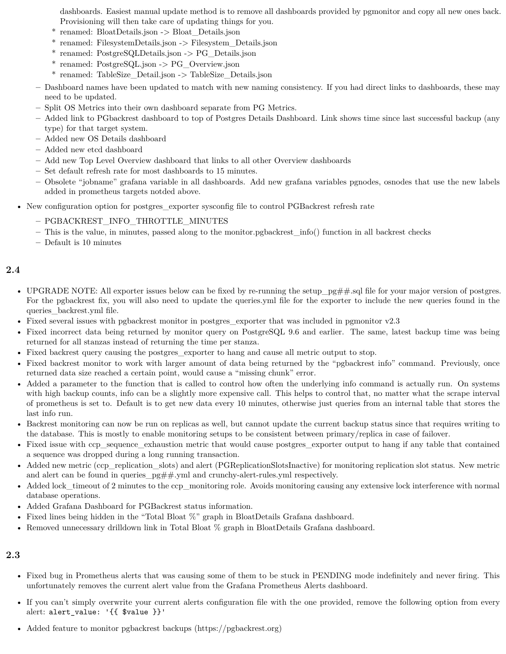dashboards. Easiest manual update method is to remove all dashboards provided by pgmonitor and copy all new ones back. Provisioning will then take care of updating things for you.

- \* renamed: BloatDetails.json -> Bloat\_Details.json
- \* renamed: FilesystemDetails.json -> Filesystem\_Details.json
- \* renamed: PostgreSQLDetails.json -> PG\_Details.json
- \* renamed: PostgreSQL.json -> PG\_Overview.json
- \* renamed: TableSize\_Detail.json -> TableSize\_Details.json
- **–** Dashboard names have been updated to match with new naming consistency. If you had direct links to dashboards, these may need to be updated.
- **–** Split OS Metrics into their own dashboard separate from PG Metrics.
- **–** Added link to PGbackrest dashboard to top of Postgres Details Dashboard. Link shows time since last successful backup (any type) for that target system.
- **–** Added new OS Details dashboard
- **–** Added new etcd dashboard
- **–** Add new Top Level Overview dashboard that links to all other Overview dashboards
- **–** Set default refresh rate for most dashboards to 15 minutes.
- **–** Obsolete "jobname" grafana variable in all dashboards. Add new grafana variables pgnodes, osnodes that use the new labels added in prometheus targets notded above.
- New configuration option for postgres exporter sysconfig file to control PGBackrest refresh rate
	- **–** PGBACKREST\_INFO\_THROTTLE\_MINUTES
	- **–** This is the value, in minutes, passed along to the monitor.pgbackrest\_info() function in all backrest checks
	- **–** Default is 10 minutes

# <span id="page-23-0"></span>**2.4**

- UPGRADE NOTE: All exporter issues below can be fixed by re-running the setup\_pg##.sql file for your major version of postgres. For the pgbackrest fix, you will also need to update the queries.yml file for the exporter to include the new queries found in the queries backrest.yml file.
- Fixed several issues with pgbackrest monitor in postgres\_exporter that was included in pgmonitor v2.3
- Fixed incorrect data being returned by monitor query on PostgreSQL 9.6 and earlier. The same, latest backup time was being returned for all stanzas instead of returning the time per stanza.
- Fixed backrest query causing the postgres exporter to hang and cause all metric output to stop.
- Fixed backrest monitor to work with larger amount of data being returned by the "pgbackrest info" command. Previously, once returned data size reached a certain point, would cause a "missing chunk" error.
- Added a parameter to the function that is called to control how often the underlying info command is actually run. On systems with high backup counts, info can be a slightly more expensive call. This helps to control that, no matter what the scrape interval of prometheus is set to. Default is to get new data every 10 minutes, otherwise just queries from an internal table that stores the last info run.
- Backrest monitoring can now be run on replicas as well, but cannot update the current backup status since that requires writing to the database. This is mostly to enable monitoring setups to be consistent between primary/replica in case of failover.
- Fixed issue with ccp\_sequence\_exhaustion metric that would cause postgres\_exporter output to hang if any table that contained a sequence was dropped during a long running transaction.
- Added new metric (ccp\_replication\_slots) and alert (PGReplicationSlotsInactive) for monitoring replication slot status. New metric and alert can be found in queries  $pg#$ , yml and crunchy-alert-rules.yml respectively.
- Added lock\_timeout of 2 minutes to the ccp\_monitoring role. Avoids monitoring causing any extensive lock interference with normal database operations.
- Added Grafana Dashboard for PGBackrest status information.
- Fixed lines being hidden in the "Total Bloat %" graph in BloatDetails Grafana dashboard.
- <span id="page-23-1"></span>• Removed unnecessary drilldown link in Total Bloat % graph in BloatDetails Grafana dashboard.

- Fixed bug in Prometheus alerts that was causing some of them to be stuck in PENDING mode indefinitely and never firing. This unfortunately removes the current alert value from the Grafana Prometheus Alerts dashboard.
- If you can't simply overwrite your current alerts configuration file with the one provided, remove the following option from every alert: alert\_value: '{{ \$value }}'
- Added feature to monitor pgbackrest backups (https://pgbackrest.org)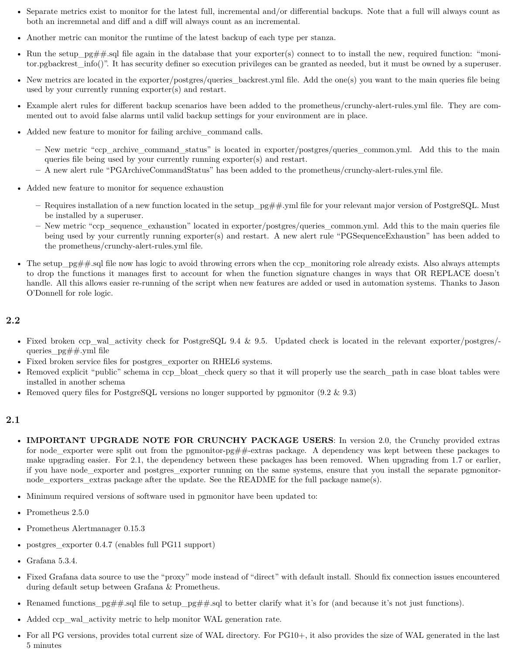- Separate metrics exist to monitor for the latest full, incremental and/or differential backups. Note that a full will always count as both an incremnetal and diff and a diff will always count as an incremental.
- Another metric can monitor the runtime of the latest backup of each type per stanza.
- Run the setup\_pg##.sql file again in the database that your exporter(s) connect to to install the new, required function: "monitor.pgbackrest\_info()". It has security definer so execution privileges can be granted as needed, but it must be owned by a superuser.
- New metrics are located in the exporter/postgres/queries\_backrest.yml file. Add the one(s) you want to the main queries file being used by your currently running exporter(s) and restart.
- Example alert rules for different backup scenarios have been added to the prometheus/crunchy-alert-rules.yml file. They are commented out to avoid false alarms until valid backup settings for your environment are in place.
- Added new feature to monitor for failing archive command calls.
	- **–** New metric "ccp\_archive\_command\_status" is located in exporter/postgres/queries\_common.yml. Add this to the main queries file being used by your currently running exporter(s) and restart.
	- **–** A new alert rule "PGArchiveCommandStatus" has been added to the prometheus/crunchy-alert-rules.yml file.
- Added new feature to monitor for sequence exhaustion
	- **–** Requires installation of a new function located in the setup\_pg##.yml file for your relevant major version of PostgreSQL. Must be installed by a superuser.
	- **–** New metric "ccp\_sequence\_exhaustion" located in exporter/postgres/queries\_common.yml. Add this to the main queries file being used by your currently running exporter(s) and restart. A new alert rule "PGSequenceExhaustion" has been added to the prometheus/crunchy-alert-rules.yml file.
- The setup\_pg##.sql file now has logic to avoid throwing errors when the ccp\_monitoring role already exists. Also always attempts to drop the functions it manages first to account for when the function signature changes in ways that OR REPLACE doesn't handle. All this allows easier re-running of the script when new features are added or used in automation systems. Thanks to Jason O'Donnell for role logic.

- <span id="page-24-0"></span>• Fixed broken ccp\_wal\_activity check for PostgreSQL 9.4 & 9.5. Updated check is located in the relevant exporter/postgres/ queries\_pg##.yml file
- Fixed broken service files for postgres exporter on RHEL6 systems.
- Removed explicit "public" schema in ccp\_bloat\_check query so that it will properly use the search\_path in case bloat tables were installed in another schema
- <span id="page-24-1"></span>• Removed query files for PostgreSQL versions no longer supported by pgmonitor  $(9.2 \& 9.3)$

- **IMPORTANT UPGRADE NOTE FOR CRUNCHY PACKAGE USERS**: In version 2.0, the Crunchy provided extras for node exporter were split out from the pgmonitor-pg##-extras package. A dependency was kept between these packages to make upgrading easier. For 2.1, the dependency between these packages has been removed. When upgrading from 1.7 or earlier, if you have node\_exporter and postgres\_exporter running on the same systems, ensure that you install the separate pgmonitornode exporters extras package after the update. See the README for the full package name(s).
- Minimum required versions of software used in pgmonitor have been updated to:
- Prometheus 2.5.0
- Prometheus Alertmanager 0.15.3
- postgres\_exporter 0.4.7 (enables full PG11 support)
- Grafana 5.3.4.
- Fixed Grafana data source to use the "proxy" mode instead of "direct" with default install. Should fix connection issues encountered during default setup between Grafana & Prometheus.
- Renamed functions\_pg##.sql file to setup\_pg##.sql to better clarify what it's for (and because it's not just functions).
- Added ccp\_wal\_activity metric to help monitor WAL generation rate.
- For all PG versions, provides total current size of WAL directory. For PG10+, it also provides the size of WAL generated in the last 5 minutes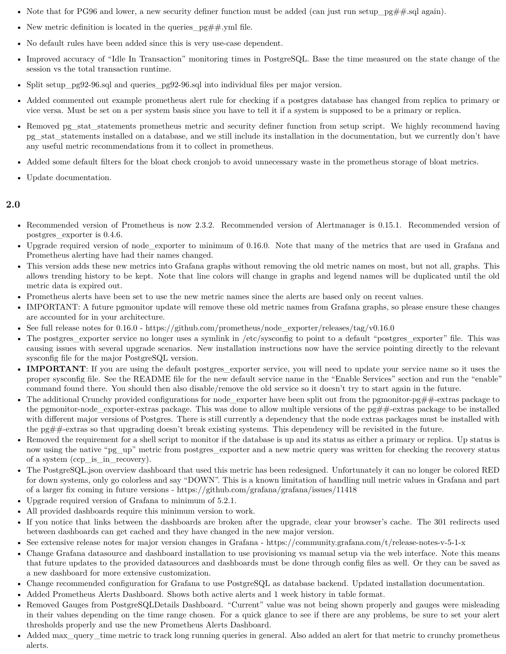- Note that for PG96 and lower, a new security definer function must be added (can just run setup\_pg##.sql again).
- New metric definition is located in the queries  $pg\##$ .yml file.
- No default rules have been added since this is very use-case dependent.
- Improved accuracy of "Idle In Transaction" monitoring times in PostgreSQL. Base the time measured on the state change of the session vs the total transaction runtime.
- Split setup pg92-96.sql and queries pg92-96.sql into individual files per major version.
- Added commented out example prometheus alert rule for checking if a postgres database has changed from replica to primary or vice versa. Must be set on a per system basis since you have to tell it if a system is supposed to be a primary or replica.
- Removed pg\_stat\_statements prometheus metric and security definer function from setup script. We highly recommend having pg\_stat\_statements installed on a database, and we still include its installation in the documentation, but we currently don't have any useful metric recommendations from it to collect in prometheus.
- Added some default filters for the bloat check cronjob to avoid unnecessary waste in the prometheus storage of bloat metrics.
- <span id="page-25-0"></span>• Update documentation.

- Recommended version of Prometheus is now 2.3.2. Recommended version of Alertmanager is 0.15.1. Recommended version of postgres\_exporter is 0.4.6.
- Upgrade required version of node\_exporter to minimum of 0.16.0. Note that many of the metrics that are used in Grafana and Prometheus alerting have had their names changed.
- This version adds these new metrics into Grafana graphs without removing the old metric names on most, but not all, graphs. This allows trending history to be kept. Note that line colors will change in graphs and legend names will be duplicated until the old metric data is expired out.
- Prometheus alerts have been set to use the new metric names since the alerts are based only on recent values.
- IMPORTANT: A future pgmonitor update will remove these old metric names from Grafana graphs, so please ensure these changes are accounted for in your architecture.
- See full release notes for 0.16.0 https://github.com/prometheus/node\_exporter/releases/tag/v0.16.0
- The postgres\_exporter service no longer uses a symlink in /etc/sysconfig to point to a default "postgres\_exporter" file. This was causing issues with several upgrade scenarios. New installation instructions now have the service pointing directly to the relevant sysconfig file for the major PostgreSQL version.
- **IMPORTANT**: If you are using the default postgres\_exporter service, you will need to update your service name so it uses the proper sysconfig file. See the README file for the new default service name in the "Enable Services" section and run the "enable" command found there. You should then also disable/remove the old service so it doesn't try to start again in the future.
- The additional Crunchy provided configurations for node\_exporter have been split out from the pgmonitor-pg##-extras package to the pgmonitor-node\_exporter-extras package. This was done to allow multiple versions of the  $pg\#$ +extras package to be installed with different major versions of Postgres. There is still currently a dependency that the node extras packages must be installed with the pg##-extras so that upgrading doesn't break existing systems. This dependency will be revisited in the future.
- Removed the requirement for a shell script to monitor if the database is up and its status as either a primary or replica. Up status is now using the native "pg\_up" metric from postgres\_exporter and a new metric query was written for checking the recovery status of a system (ccp\_is\_in\_recovery).
- The PostgreSQL json overview dashboard that used this metric has been redesigned. Unfortunately it can no longer be colored RED for down systems, only go colorless and say "DOWN". This is a known limitation of handling null metric values in Grafana and part of a larger fix coming in future versions - https://github.com/grafana/grafana/issues/11418
- Upgrade required version of Grafana to minimum of 5.2.1.
- All provided dashboards require this minimum version to work.
- If you notice that links between the dashboards are broken after the upgrade, clear your browser's cache. The 301 redirects used between dashboards can get cached and they have changed in the new major version.
- See extensive release notes for major version changes in Grafana https://community.grafana.com/t/release-notes-v-5-1-x
- Change Grafana datasource and dashboard installation to use provisioning vs manual setup via the web interface. Note this means that future updates to the provided datasources and dashboards must be done through config files as well. Or they can be saved as a new dashboard for more extensive customization.
- Change recommended configuration for Grafana to use PostgreSQL as database backend. Updated installation documentation.
- Added Prometheus Alerts Dashboard. Shows both active alerts and 1 week history in table format.
- Removed Gauges from PostgreSQLDetails Dashboard. "Current" value was not being shown properly and gauges were misleading in their values depending on the time range chosen. For a quick glance to see if there are any problems, be sure to set your alert thresholds properly and use the new Prometheus Alerts Dashboard.
- Added max query time metric to track long running queries in general. Also added an alert for that metric to crunchy prometheus alerts.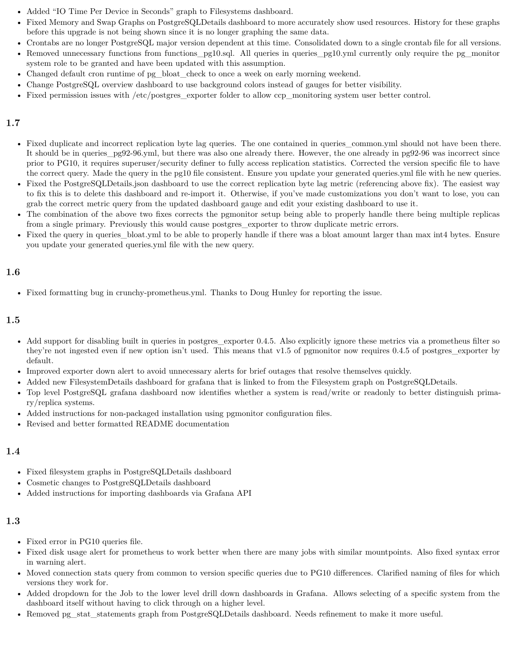- Added "IO Time Per Device in Seconds" graph to Filesystems dashboard.
- Fixed Memory and Swap Graphs on PostgreSQLDetails dashboard to more accurately show used resources. History for these graphs before this upgrade is not being shown since it is no longer graphing the same data.
- Crontabs are no longer PostgreSQL major version dependent at this time. Consolidated down to a single crontab file for all versions.
- Removed unnecessary functions from functions\_pg10.sql. All queries in queries\_pg10.yml currently only require the pg\_monitor system role to be granted and have been updated with this assumption.
- Changed default cron runtime of pg\_bloat\_check to once a week on early morning weekend.
- Change PostgreSQL overview dashboard to use background colors instead of gauges for better visibility.
- Fixed permission issues with /etc/postgres exporter folder to allow ccp monitoring system user better control.

- <span id="page-26-0"></span>• Fixed duplicate and incorrect replication byte lag queries. The one contained in queries common.yml should not have been there. It should be in queries\_pg92-96.yml, but there was also one already there. However, the one already in pg92-96 was incorrect since prior to PG10, it requires superuser/security definer to fully access replication statistics. Corrected the version specific file to have the correct query. Made the query in the pg10 file consistent. Ensure you update your generated queries.yml file with he new queries.
- Fixed the PostgreSQLDetails.json dashboard to use the correct replication byte lag metric (referencing above fix). The easiest way to fix this is to delete this dashboard and re-import it. Otherwise, if you've made customizations you don't want to lose, you can grab the correct metric query from the updated dashboard gauge and edit your existing dashboard to use it.
- The combination of the above two fixes corrects the pgmonitor setup being able to properly handle there being multiple replicas from a single primary. Previously this would cause postgres\_exporter to throw duplicate metric errors.
- Fixed the query in queries bloat.yml to be able to properly handle if there was a bloat amount larger than max int4 bytes. Ensure you update your generated queries.yml file with the new query.

# <span id="page-26-1"></span>**1.6**

• Fixed formatting bug in crunchy-prometheus.yml. Thanks to Doug Hunley for reporting the issue.

# <span id="page-26-2"></span>**1.5**

- Add support for disabling built in queries in postgres\_exporter 0.4.5. Also explicitly ignore these metrics via a prometheus filter so they're not ingested even if new option isn't used. This means that v1.5 of pgmonitor now requires 0.4.5 of postgres\_exporter by default.
- Improved exporter down alert to avoid unnecessary alerts for brief outages that resolve themselves quickly.
- Added new FilesystemDetails dashboard for grafana that is linked to from the Filesystem graph on PostgreSQLDetails.
- Top level PostgreSQL grafana dashboard now identifies whether a system is read/write or readonly to better distinguish primary/replica systems.
- Added instructions for non-packaged installation using pgmonitor configuration files.
- Revised and better formatted README documentation

# <span id="page-26-3"></span>**1.4**

- Fixed filesystem graphs in PostgreSQLDetails dashboard
- Cosmetic changes to PostgreSQLDetails dashboard
- Added instructions for importing dashboards via Grafana API

- <span id="page-26-4"></span>• Fixed error in PG10 queries file.
- Fixed disk usage alert for prometheus to work better when there are many jobs with similar mountpoints. Also fixed syntax error in warning alert.
- Moved connection stats query from common to version specific queries due to PG10 differences. Clarified naming of files for which versions they work for.
- Added dropdown for the Job to the lower level drill down dashboards in Grafana. Allows selecting of a specific system from the dashboard itself without having to click through on a higher level.
- Removed pg\_stat\_statements graph from PostgreSQLDetails dashboard. Needs refinement to make it more useful.